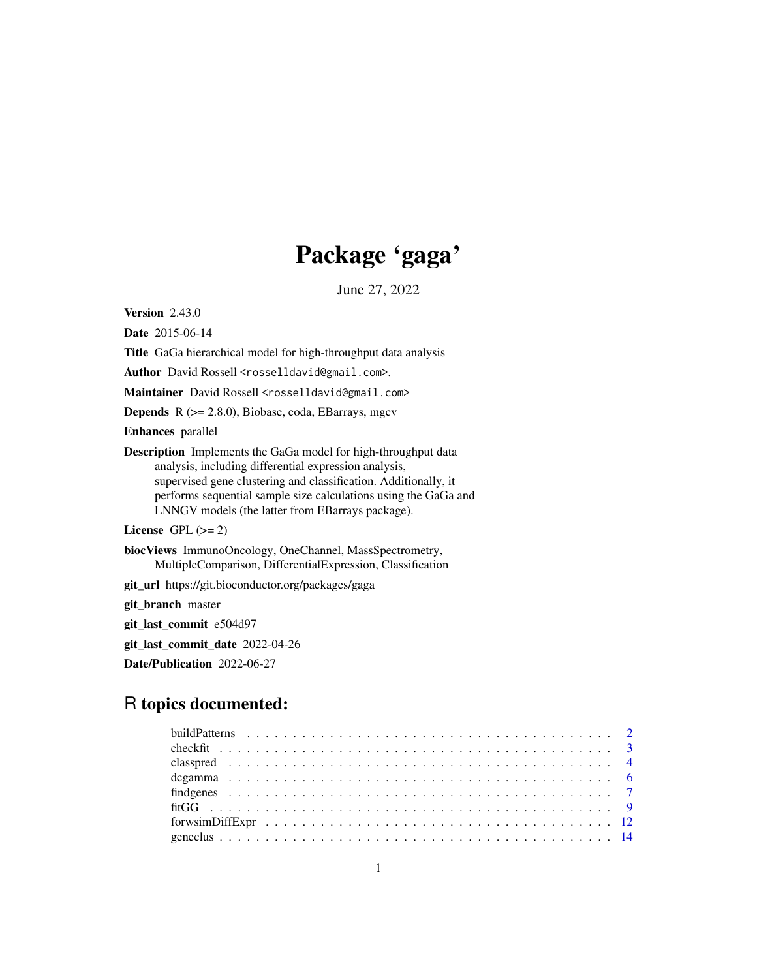## Package 'gaga'

June 27, 2022

<span id="page-0-0"></span>Version 2.43.0

Date 2015-06-14

Title GaGa hierarchical model for high-throughput data analysis

Author David Rossell <rosselldavid@gmail.com>.

Maintainer David Rossell <rosselldavid@gmail.com>

Depends R (>= 2.8.0), Biobase, coda, EBarrays, mgcv

Enhances parallel

Description Implements the GaGa model for high-throughput data analysis, including differential expression analysis, supervised gene clustering and classification. Additionally, it performs sequential sample size calculations using the GaGa and LNNGV models (the latter from EBarrays package).

License GPL  $(>= 2)$ 

biocViews ImmunoOncology, OneChannel, MassSpectrometry, MultipleComparison, DifferentialExpression, Classification

git\_url https://git.bioconductor.org/packages/gaga

git\_branch master

git\_last\_commit e504d97

git\_last\_commit\_date 2022-04-26

Date/Publication 2022-06-27

## R topics documented: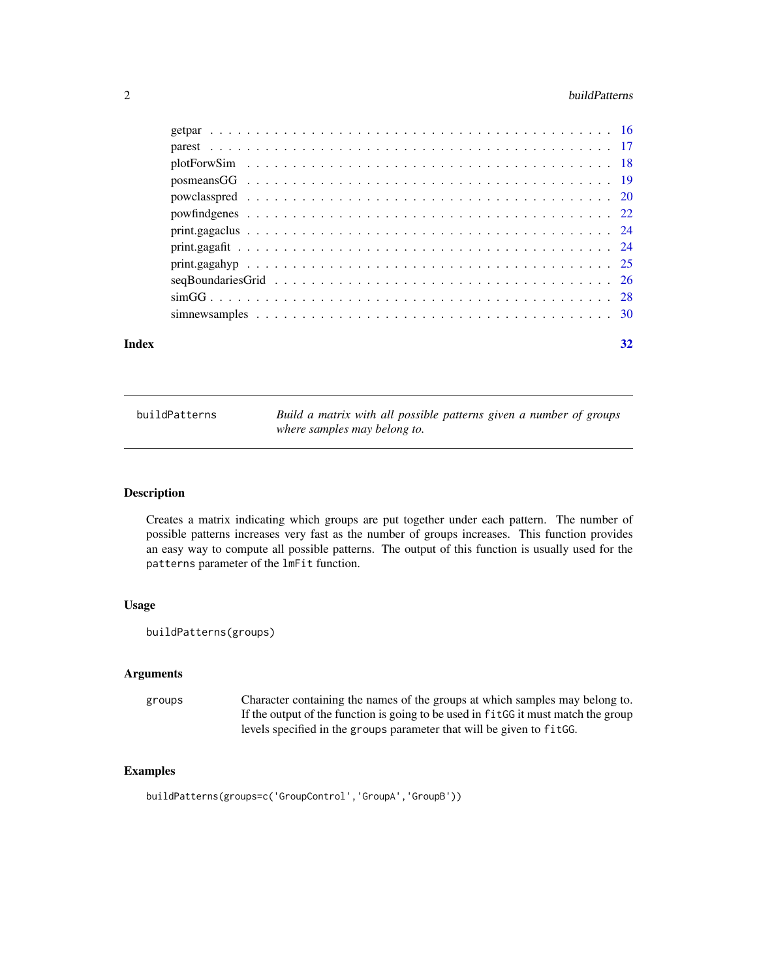#### <span id="page-1-0"></span>2 buildPatterns and the contract of the contract of the contract of the contract of the contract of the contract of the contract of the contract of the contract of the contract of the contract of the contract of the contra

| Index | 32 |
|-------|----|
|       |    |
|       |    |
|       |    |
|       |    |
|       |    |
|       |    |
|       |    |
|       |    |
|       |    |
|       |    |
|       |    |
|       |    |

buildPatterns *Build a matrix with all possible patterns given a number of groups where samples may belong to.*

#### Description

Creates a matrix indicating which groups are put together under each pattern. The number of possible patterns increases very fast as the number of groups increases. This function provides an easy way to compute all possible patterns. The output of this function is usually used for the patterns parameter of the lmFit function.

### Usage

```
buildPatterns(groups)
```
### Arguments

groups Character containing the names of the groups at which samples may belong to. If the output of the function is going to be used in fitGG it must match the group levels specified in the groups parameter that will be given to fitGG.

```
buildPatterns(groups=c('GroupControl','GroupA','GroupB'))
```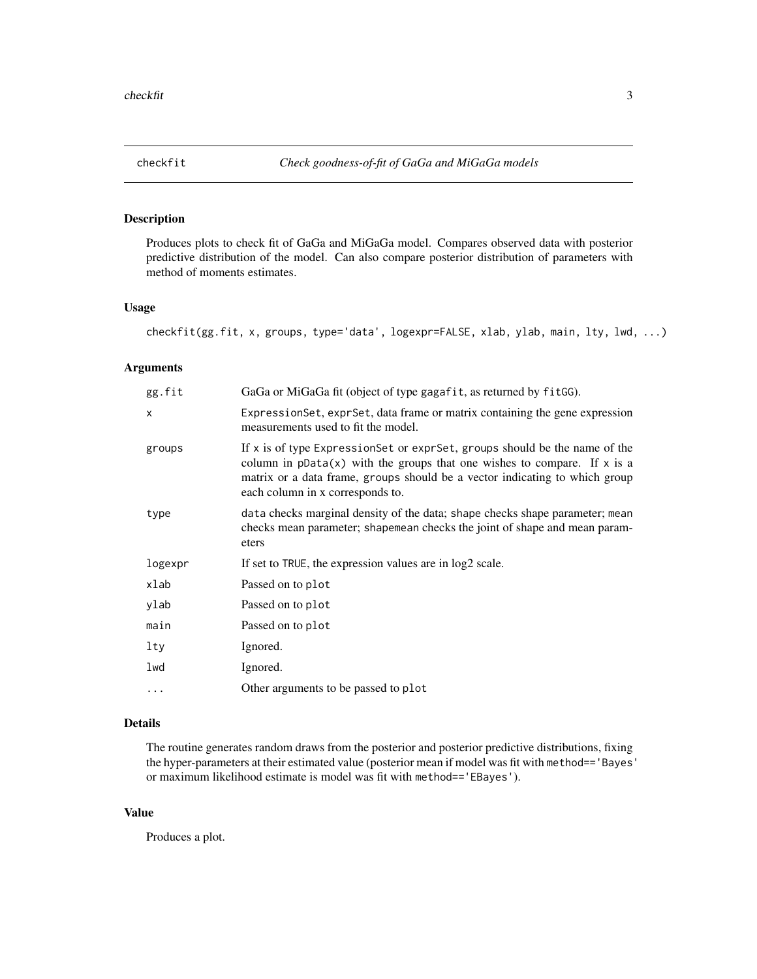<span id="page-2-1"></span><span id="page-2-0"></span>

### Description

Produces plots to check fit of GaGa and MiGaGa model. Compares observed data with posterior predictive distribution of the model. Can also compare posterior distribution of parameters with method of moments estimates.

### Usage

```
checkfit(gg.fit, x, groups, type='data', logexpr=FALSE, xlab, ylab, main, lty, lwd, ...)
```
### Arguments

| gg.fit   | GaGa or MiGaGa fit (object of type gagafit, as returned by fitGG).                                                                                                                                                                                                          |  |
|----------|-----------------------------------------------------------------------------------------------------------------------------------------------------------------------------------------------------------------------------------------------------------------------------|--|
| X        | ExpressionSet, exprSet, data frame or matrix containing the gene expression<br>measurements used to fit the model.                                                                                                                                                          |  |
| groups   | If x is of type ExpressionSet or exprSet, groups should be the name of the<br>column in $pData(x)$ with the groups that one wishes to compare. If x is a<br>matrix or a data frame, groups should be a vector indicating to which group<br>each column in x corresponds to. |  |
| type     | data checks marginal density of the data; shape checks shape parameter; mean<br>checks mean parameter; shapemean checks the joint of shape and mean param-<br>eters                                                                                                         |  |
| logexpr  | If set to TRUE, the expression values are in log2 scale.                                                                                                                                                                                                                    |  |
| xlab     | Passed on to plot                                                                                                                                                                                                                                                           |  |
| ylab     | Passed on to plot                                                                                                                                                                                                                                                           |  |
| main     | Passed on to plot                                                                                                                                                                                                                                                           |  |
| lty      | Ignored.                                                                                                                                                                                                                                                                    |  |
| lwd      | Ignored.                                                                                                                                                                                                                                                                    |  |
| $\cdots$ | Other arguments to be passed to plot                                                                                                                                                                                                                                        |  |

### Details

The routine generates random draws from the posterior and posterior predictive distributions, fixing the hyper-parameters at their estimated value (posterior mean if model was fit with method=='Bayes' or maximum likelihood estimate is model was fit with method=='EBayes').

#### Value

Produces a plot.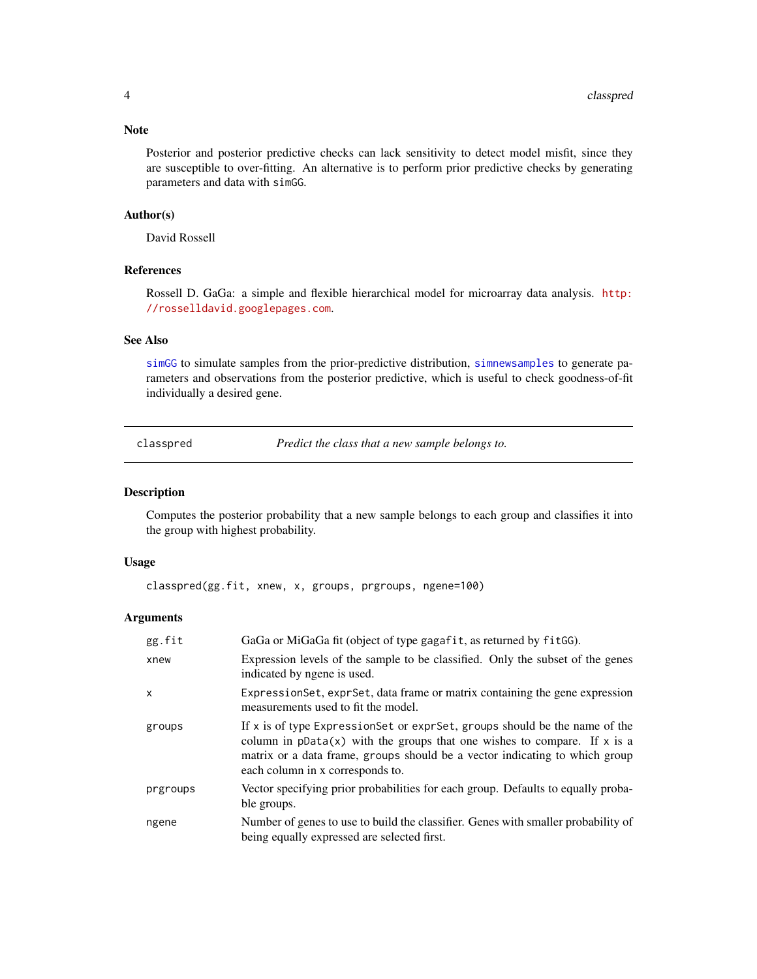#### <span id="page-3-0"></span>Note

Posterior and posterior predictive checks can lack sensitivity to detect model misfit, since they are susceptible to over-fitting. An alternative is to perform prior predictive checks by generating parameters and data with simGG.

#### Author(s)

David Rossell

#### References

Rossell D. GaGa: a simple and flexible hierarchical model for microarray data analysis. [http:](http://rosselldavid.googlepages.com) [//rosselldavid.googlepages.com](http://rosselldavid.googlepages.com).

### See Also

[simGG](#page-27-1) to simulate samples from the prior-predictive distribution, [simnewsamples](#page-29-1) to generate parameters and observations from the posterior predictive, which is useful to check goodness-of-fit individually a desired gene.

<span id="page-3-1"></span>classpred *Predict the class that a new sample belongs to.*

#### Description

Computes the posterior probability that a new sample belongs to each group and classifies it into the group with highest probability.

#### Usage

classpred(gg.fit, xnew, x, groups, prgroups, ngene=100)

| gg.fit       | GaGa or MiGaGa fit (object of type gagafit, as returned by fitGG).                                                                                                                                                                                                            |  |
|--------------|-------------------------------------------------------------------------------------------------------------------------------------------------------------------------------------------------------------------------------------------------------------------------------|--|
| xnew         | Expression levels of the sample to be classified. Only the subset of the genes<br>indicated by ngene is used.                                                                                                                                                                 |  |
| $\mathsf{x}$ | Expression Set, expr Set, data frame or matrix containing the gene expression<br>measurements used to fit the model.                                                                                                                                                          |  |
| groups       | If x is of type Expression Set or expr Set, groups should be the name of the<br>column in $pData(x)$ with the groups that one wishes to compare. If x is a<br>matrix or a data frame, groups should be a vector indicating to which group<br>each column in x corresponds to. |  |
| prgroups     | Vector specifying prior probabilities for each group. Defaults to equally proba-<br>ble groups.                                                                                                                                                                               |  |
| ngene        | Number of genes to use to build the classifier. Genes with smaller probability of<br>being equally expressed are selected first.                                                                                                                                              |  |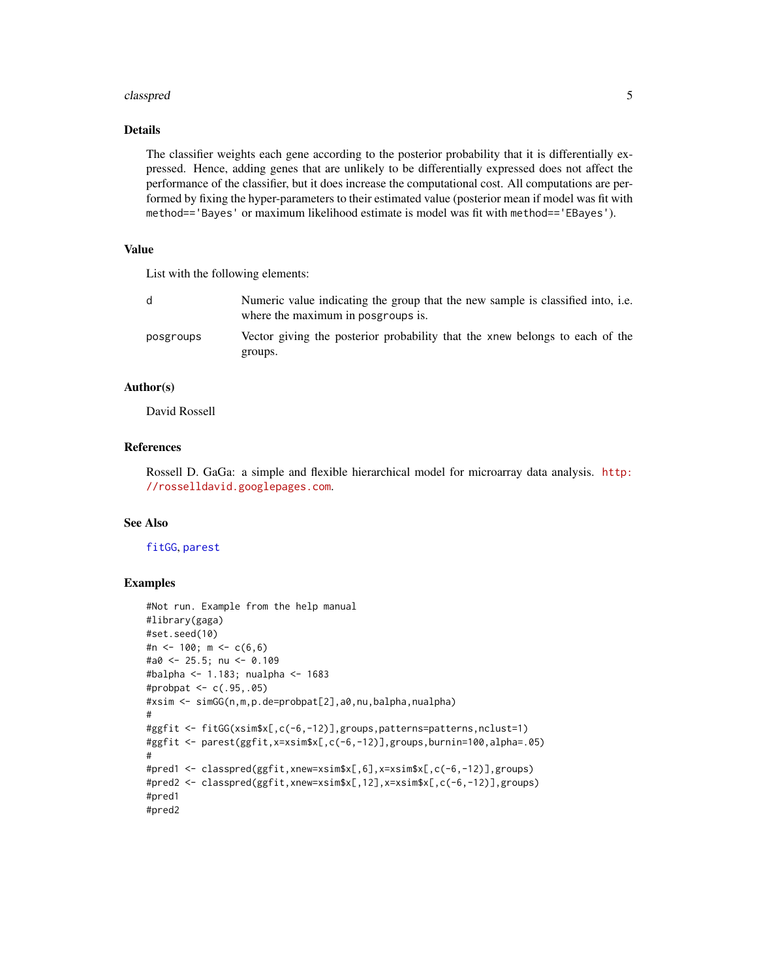#### <span id="page-4-0"></span>classpred 5

### Details

The classifier weights each gene according to the posterior probability that it is differentially expressed. Hence, adding genes that are unlikely to be differentially expressed does not affect the performance of the classifier, but it does increase the computational cost. All computations are performed by fixing the hyper-parameters to their estimated value (posterior mean if model was fit with method=='Bayes' or maximum likelihood estimate is model was fit with method=='EBayes').

### Value

List with the following elements:

|           | Numeric value indicating the group that the new sample is classified into, i.e.<br>where the maximum in posgroups is. |
|-----------|-----------------------------------------------------------------------------------------------------------------------|
| posgroups | Vector giving the posterior probability that the xnew belongs to each of the<br>groups.                               |

### Author(s)

David Rossell

### References

Rossell D. GaGa: a simple and flexible hierarchical model for microarray data analysis. [http:](http://rosselldavid.googlepages.com) [//rosselldavid.googlepages.com](http://rosselldavid.googlepages.com).

### See Also

[fitGG](#page-8-1), [parest](#page-16-1)

```
#Not run. Example from the help manual
#library(gaga)
#set.seed(10)
#n <- 100; m <- c(6,6)
#a0 <- 25.5; nu <- 0.109
#balpha <- 1.183; nualpha <- 1683
#probpat <- c(.95,.05)
#xsim <- simGG(n,m,p.de=probpat[2],a0,nu,balpha,nualpha)
#
#ggfit <- fitGG(xsim$x[,c(-6,-12)],groups,patterns=patterns,nclust=1)
#ggfit <- parest(ggfit,x=xsim$x[,c(-6,-12)],groups,burnin=100,alpha=.05)
#
#pred1 <- classpred(ggfit,xnew=xsim$x[,6],x=xsim$x[,c(-6,-12)],groups)
#pred2 <- classpred(ggfit,xnew=xsim$x[,12],x=xsim$x[,c(-6,-12)],groups)
#pred1
#pred2
```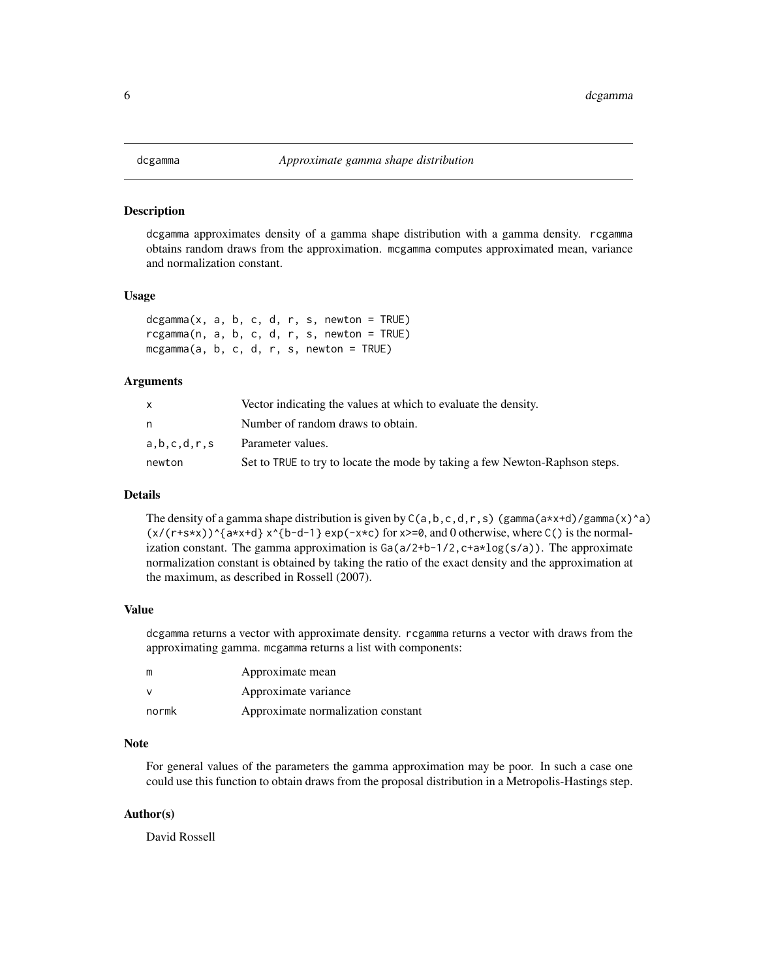<span id="page-5-0"></span>

#### Description

dcgamma approximates density of a gamma shape distribution with a gamma density. rcgamma obtains random draws from the approximation. mcgamma computes approximated mean, variance and normalization constant.

#### Usage

dcgamma(x, a, b, c, d, r, s, newton = TRUE) rcgamma(n, a, b, c, d, r, s, newton = TRUE) mcgamma(a, b, c, d, r, s, newton = TRUE)

#### Arguments

|             | Vector indicating the values at which to evaluate the density.              |  |
|-------------|-----------------------------------------------------------------------------|--|
|             | Number of random draws to obtain.                                           |  |
| a.b.c.d.r.s | Parameter values.                                                           |  |
| newton      | Set to TRUE to try to locate the mode by taking a few Newton-Raphson steps. |  |

#### Details

The density of a gamma shape distribution is given by  $C(a, b, c, d, r, s)$  (gamma $(a \star x + d)/g$ amma $(x)$ ^a)  $(x/(r+s*x))^{\hat{ }}$  {a\*x+d} x^{b-d-1} exp(-x\*c) for x>=0, and 0 otherwise, where C() is the normalization constant. The gamma approximation is  $Ga(a/2+b-1/2, c+a \star log(s/a))$ . The approximate normalization constant is obtained by taking the ratio of the exact density and the approximation at the maximum, as described in Rossell (2007).

#### Value

dcgamma returns a vector with approximate density. rcgamma returns a vector with draws from the approximating gamma. mcgamma returns a list with components:

| m            | Approximate mean                   |
|--------------|------------------------------------|
| $\mathsf{v}$ | Approximate variance               |
| normk        | Approximate normalization constant |

#### Note

For general values of the parameters the gamma approximation may be poor. In such a case one could use this function to obtain draws from the proposal distribution in a Metropolis-Hastings step.

#### Author(s)

David Rossell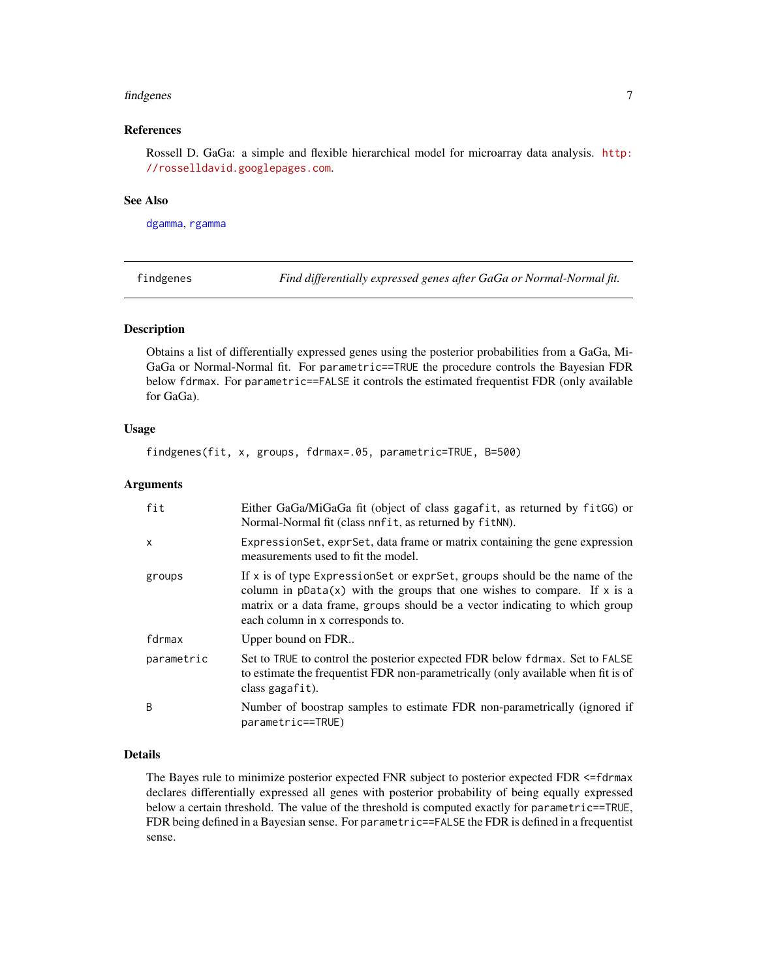#### <span id="page-6-0"></span>findgenes 7

### References

Rossell D. GaGa: a simple and flexible hierarchical model for microarray data analysis. [http:](http://rosselldavid.googlepages.com) [//rosselldavid.googlepages.com](http://rosselldavid.googlepages.com).

#### See Also

[dgamma](#page-0-0), [rgamma](#page-0-0)

<span id="page-6-1"></span>findgenes *Find differentially expressed genes after GaGa or Normal-Normal fit.*

#### Description

Obtains a list of differentially expressed genes using the posterior probabilities from a GaGa, Mi-GaGa or Normal-Normal fit. For parametric==TRUE the procedure controls the Bayesian FDR below fdrmax. For parametric==FALSE it controls the estimated frequentist FDR (only available for GaGa).

### Usage

findgenes(fit, x, groups, fdrmax=.05, parametric=TRUE, B=500)

#### Arguments

| fit          | Either GaGa/MiGaGa fit (object of class gagafit, as returned by fitGG) or<br>Normal-Normal fit (class nnfit, as returned by fitNN).                                                                                                                                           |  |
|--------------|-------------------------------------------------------------------------------------------------------------------------------------------------------------------------------------------------------------------------------------------------------------------------------|--|
| $\mathsf{x}$ | Expression Set, expr Set, data frame or matrix containing the gene expression<br>measurements used to fit the model.                                                                                                                                                          |  |
| groups       | If x is of type Expression Set or expr Set, groups should be the name of the<br>column in $pData(x)$ with the groups that one wishes to compare. If x is a<br>matrix or a data frame, groups should be a vector indicating to which group<br>each column in x corresponds to. |  |
| fdrmax       | Upper bound on FDR                                                                                                                                                                                                                                                            |  |
| parametric   | Set to TRUE to control the posterior expected FDR below fdrmax. Set to FALSE<br>to estimate the frequentist FDR non-parametrically (only available when fit is of<br>class gagafit).                                                                                          |  |
| B            | Number of boostrap samples to estimate FDR non-parametrically (ignored if<br>parametric==TRUE)                                                                                                                                                                                |  |

### Details

The Bayes rule to minimize posterior expected FNR subject to posterior expected FDR <=fdrmax declares differentially expressed all genes with posterior probability of being equally expressed below a certain threshold. The value of the threshold is computed exactly for parametric==TRUE, FDR being defined in a Bayesian sense. For parametric==FALSE the FDR is defined in a frequentist sense.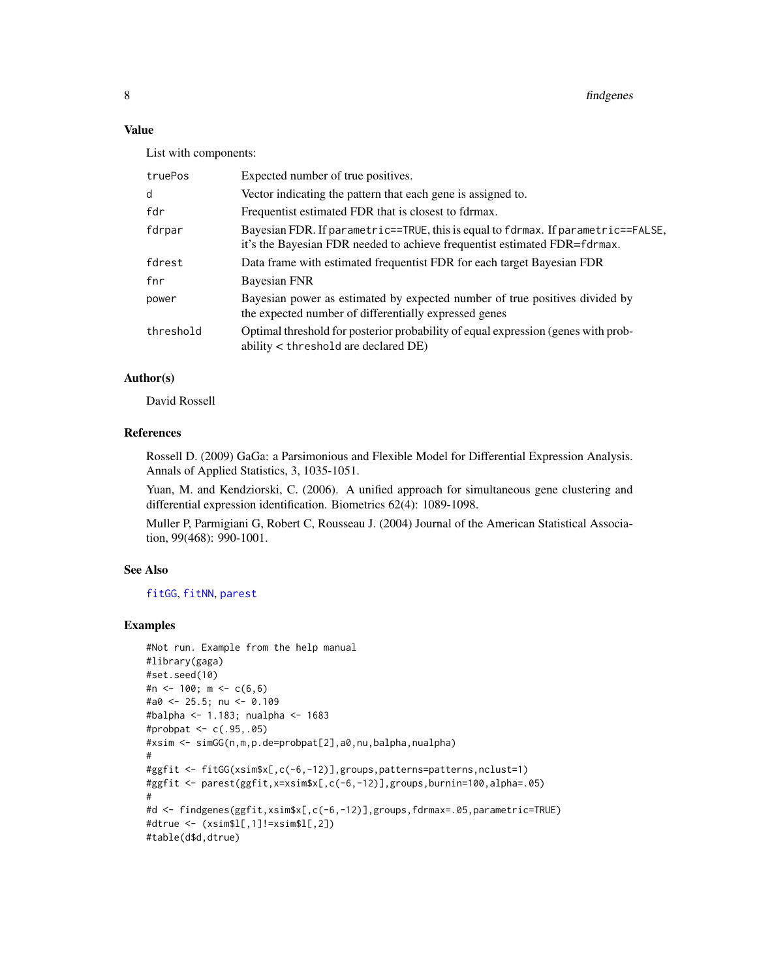### <span id="page-7-0"></span>Value

List with components:

| Expected number of true positives.                                                                                                                             |  |
|----------------------------------------------------------------------------------------------------------------------------------------------------------------|--|
| Vector indicating the pattern that each gene is assigned to.                                                                                                   |  |
| Frequentist estimated FDR that is closest to fdrmax.                                                                                                           |  |
| Bayesian FDR. If parametric==TRUE, this is equal to fdrmax. If parametric==FALSE,<br>it's the Bayesian FDR needed to achieve frequentist estimated FDR=fdrmax. |  |
| Data frame with estimated frequentist FDR for each target Bayesian FDR                                                                                         |  |
| Bayesian FNR                                                                                                                                                   |  |
| Bayesian power as estimated by expected number of true positives divided by<br>the expected number of differentially expressed genes                           |  |
| Optimal threshold for posterior probability of equal expression (genes with prob-<br>ability < threshold are declared DE)                                      |  |
|                                                                                                                                                                |  |

### Author(s)

David Rossell

### References

Rossell D. (2009) GaGa: a Parsimonious and Flexible Model for Differential Expression Analysis. Annals of Applied Statistics, 3, 1035-1051.

Yuan, M. and Kendziorski, C. (2006). A unified approach for simultaneous gene clustering and differential expression identification. Biometrics 62(4): 1089-1098.

Muller P, Parmigiani G, Robert C, Rousseau J. (2004) Journal of the American Statistical Association, 99(468): 990-1001.

#### See Also

[fitGG](#page-8-1), [fitNN](#page-8-2), [parest](#page-16-1)

```
#Not run. Example from the help manual
#library(gaga)
#set.seed(10)
#n <- 100; m <- c(6,6)
#a0 <- 25.5; nu <- 0.109
#balpha <- 1.183; nualpha <- 1683
#probpat <- c(.95,.05)
#xsim <- simGG(n,m,p.de=probpat[2],a0,nu,balpha,nualpha)
#
#ggfit <- fitGG(xsim$x[,c(-6,-12)],groups,patterns=patterns,nclust=1)
#ggfit <- parest(ggfit,x=xsim$x[,c(-6,-12)],groups,burnin=100,alpha=.05)
#
#d <- findgenes(ggfit,xsim$x[,c(-6,-12)],groups,fdrmax=.05,parametric=TRUE)
#dtrue <- (xsim$l[,1]!=xsim$l[,2])
#table(d$d,dtrue)
```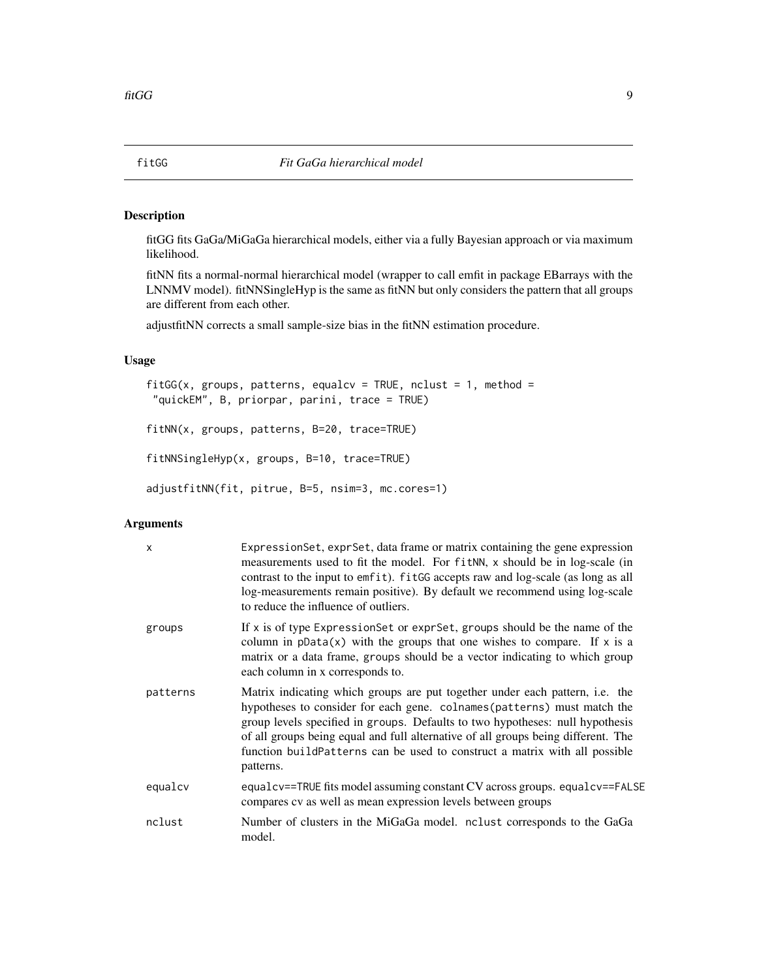<span id="page-8-1"></span><span id="page-8-0"></span>

#### <span id="page-8-2"></span>Description

fitGG fits GaGa/MiGaGa hierarchical models, either via a fully Bayesian approach or via maximum likelihood.

fitNN fits a normal-normal hierarchical model (wrapper to call emfit in package EBarrays with the LNNMV model). fitNNSingleHyp is the same as fitNN but only considers the pattern that all groups are different from each other.

adjustfitNN corrects a small sample-size bias in the fitNN estimation procedure.

### Usage

```
fitGG(x, groups, patterns, equalcv = TRUE, nclust = 1, method =
 "quickEM", B, priorpar, parini, trace = TRUE)
```
fitNN(x, groups, patterns, B=20, trace=TRUE)

fitNNSingleHyp(x, groups, B=10, trace=TRUE)

adjustfitNN(fit, pitrue, B=5, nsim=3, mc.cores=1)

| $\mathsf{x}$ | Expression Set, expr Set, data frame or matrix containing the gene expression<br>measurements used to fit the model. For fitNN, x should be in log-scale (in<br>contrast to the input to emfit). fitGG accepts raw and log-scale (as long as all<br>log-measurements remain positive). By default we recommend using log-scale<br>to reduce the influence of outliers.                                                            |  |
|--------------|-----------------------------------------------------------------------------------------------------------------------------------------------------------------------------------------------------------------------------------------------------------------------------------------------------------------------------------------------------------------------------------------------------------------------------------|--|
| groups       | If $x$ is of type Expression Set or expr Set, groups should be the name of the<br>column in $pData(x)$ with the groups that one wishes to compare. If x is a<br>matrix or a data frame, groups should be a vector indicating to which group<br>each column in x corresponds to.                                                                                                                                                   |  |
| patterns     | Matrix indicating which groups are put together under each pattern, <i>i.e.</i> the<br>hypotheses to consider for each gene. colnames (patterns) must match the<br>group levels specified in groups. Defaults to two hypotheses: null hypothesis<br>of all groups being equal and full alternative of all groups being different. The<br>function build Patterns can be used to construct a matrix with all possible<br>patterns. |  |
| equalcv      | equalcy==TRUE fits model assuming constant CV across groups. equalcy==FALSE<br>compares cv as well as mean expression levels between groups                                                                                                                                                                                                                                                                                       |  |
| nclust       | Number of clusters in the MiGaGa model. not net corresponds to the GaGa<br>model.                                                                                                                                                                                                                                                                                                                                                 |  |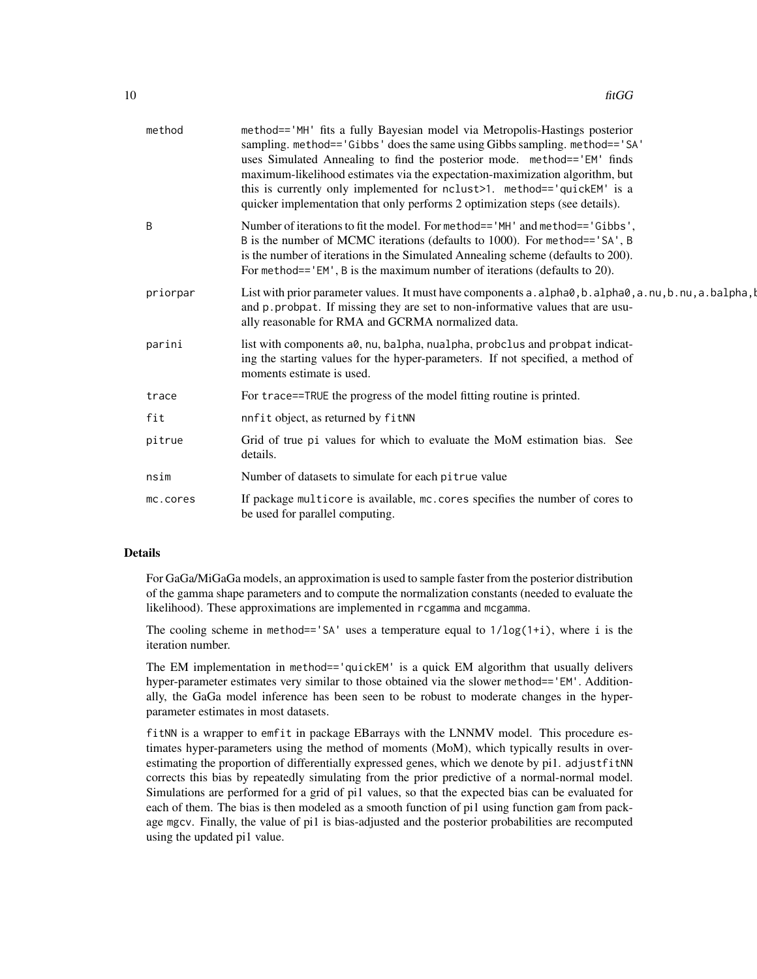| method   | method=='MH' fits a fully Bayesian model via Metropolis-Hastings posterior<br>sampling. method=='Gibbs' does the same using Gibbs sampling. method=='SA'<br>uses Simulated Annealing to find the posterior mode. method=='EM' finds<br>maximum-likelihood estimates via the expectation-maximization algorithm, but<br>this is currently only implemented for nclust>1. method=='quickEM' is a<br>quicker implementation that only performs 2 optimization steps (see details). |
|----------|---------------------------------------------------------------------------------------------------------------------------------------------------------------------------------------------------------------------------------------------------------------------------------------------------------------------------------------------------------------------------------------------------------------------------------------------------------------------------------|
| B        | Number of iterations to fit the model. For method== 'MH' and method== 'Gibbs',<br>B is the number of MCMC iterations (defaults to 1000). For method=='SA', B<br>is the number of iterations in the Simulated Annealing scheme (defaults to 200).<br>For method=='EM', B is the maximum number of iterations (defaults to 20).                                                                                                                                                   |
| priorpar | List with prior parameter values. It must have components a . alpha $\theta$ , b . alpha $\theta$ , a . nu, b . nu, a . balpha, b<br>and p. probpat. If missing they are set to non-informative values that are usu-<br>ally reasonable for RMA and GCRMA normalized data.                                                                                                                                                                                                      |
| parini   | list with components a0, nu, balpha, nualpha, probclus and probpat indicat-<br>ing the starting values for the hyper-parameters. If not specified, a method of<br>moments estimate is used.                                                                                                                                                                                                                                                                                     |
| trace    | For trace==TRUE the progress of the model fitting routine is printed.                                                                                                                                                                                                                                                                                                                                                                                                           |
| fit      | nnfit object, as returned by fitNN                                                                                                                                                                                                                                                                                                                                                                                                                                              |
| pitrue   | Grid of true pi values for which to evaluate the MoM estimation bias. See<br>details.                                                                                                                                                                                                                                                                                                                                                                                           |
| nsim     | Number of datasets to simulate for each pitrue value                                                                                                                                                                                                                                                                                                                                                                                                                            |
| mc.cores | If package multicore is available, mc. cores specifies the number of cores to<br>be used for parallel computing.                                                                                                                                                                                                                                                                                                                                                                |
|          |                                                                                                                                                                                                                                                                                                                                                                                                                                                                                 |

### Details

For GaGa/MiGaGa models, an approximation is used to sample faster from the posterior distribution of the gamma shape parameters and to compute the normalization constants (needed to evaluate the likelihood). These approximations are implemented in rcgamma and mcgamma.

The cooling scheme in method=='SA' uses a temperature equal to  $1/\log(1+i)$ , where i is the iteration number.

The EM implementation in method=='quickEM' is a quick EM algorithm that usually delivers hyper-parameter estimates very similar to those obtained via the slower method=='EM'. Additionally, the GaGa model inference has been seen to be robust to moderate changes in the hyperparameter estimates in most datasets.

fitNN is a wrapper to emfit in package EBarrays with the LNNMV model. This procedure estimates hyper-parameters using the method of moments (MoM), which typically results in overestimating the proportion of differentially expressed genes, which we denote by pi1. adjustfitNN corrects this bias by repeatedly simulating from the prior predictive of a normal-normal model. Simulations are performed for a grid of pi1 values, so that the expected bias can be evaluated for each of them. The bias is then modeled as a smooth function of pi1 using function gam from package mgcv. Finally, the value of pi1 is bias-adjusted and the posterior probabilities are recomputed using the updated pi1 value.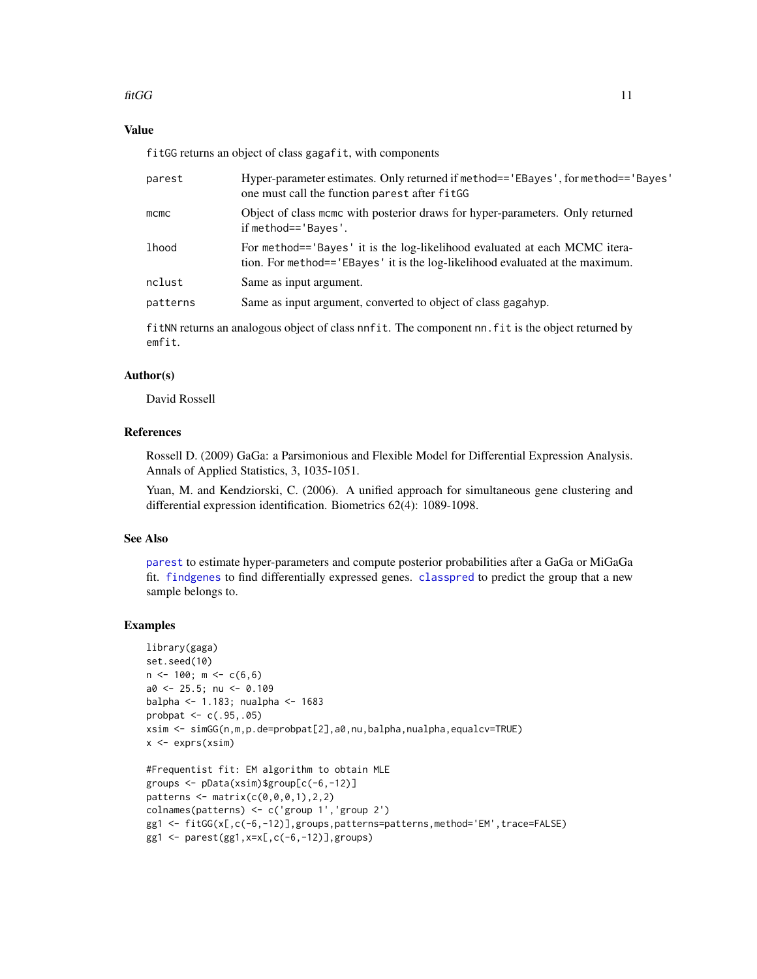### <span id="page-10-0"></span> $\int$ fitGG 11

### Value

fitGG returns an object of class gagafit, with components

| parest   | Hyper-parameter estimates. Only returned if method== 'EBayes', for method== 'Bayes'<br>one must call the function parest after fitGG                          |
|----------|---------------------------------------------------------------------------------------------------------------------------------------------------------------|
| $m$ cmc  | Object of class mome with posterior draws for hyper-parameters. Only returned<br>if method== $B$ ayes'.                                                       |
| lhood    | For method== 'Bayes' it is the log-likelihood evaluated at each MCMC itera-<br>tion. For method== 'EBayes' it is the log-likelihood evaluated at the maximum. |
| nclust   | Same as input argument.                                                                                                                                       |
| patterns | Same as input argument, converted to object of class gagahyp.                                                                                                 |
|          | fit NN returns an analogous object of class nnfit. The component nn. fit is the object returned by                                                            |

### Author(s)

emfit.

David Rossell

#### References

Rossell D. (2009) GaGa: a Parsimonious and Flexible Model for Differential Expression Analysis. Annals of Applied Statistics, 3, 1035-1051.

Yuan, M. and Kendziorski, C. (2006). A unified approach for simultaneous gene clustering and differential expression identification. Biometrics 62(4): 1089-1098.

#### See Also

[parest](#page-16-1) to estimate hyper-parameters and compute posterior probabilities after a GaGa or MiGaGa fit. [findgenes](#page-6-1) to find differentially expressed genes. [classpred](#page-3-1) to predict the group that a new sample belongs to.

```
library(gaga)
set.seed(10)
n \le -100; m \le -c(6,6)a0 <- 25.5; nu <- 0.109
balpha <- 1.183; nualpha <- 1683
probpat <- c(.95,.05)
xsim <- simGG(n,m,p.de=probpat[2],a0,nu,balpha,nualpha,equalcv=TRUE)
x \leftarrow \text{express}(xsim)#Frequentist fit: EM algorithm to obtain MLE
groups <- pData(xsim)$group[c(-6,-12)]
patterns < - matrix(c(0, 0, 0, 1), 2, 2)colnames(patterns) <- c('group 1','group 2')
gg1 <- fitGG(x[,c(-6,-12)],groups,patterns=patterns,method='EM',trace=FALSE)
gg1 \leq -parest(gg1, x=x[, c(-6, -12)], groups)
```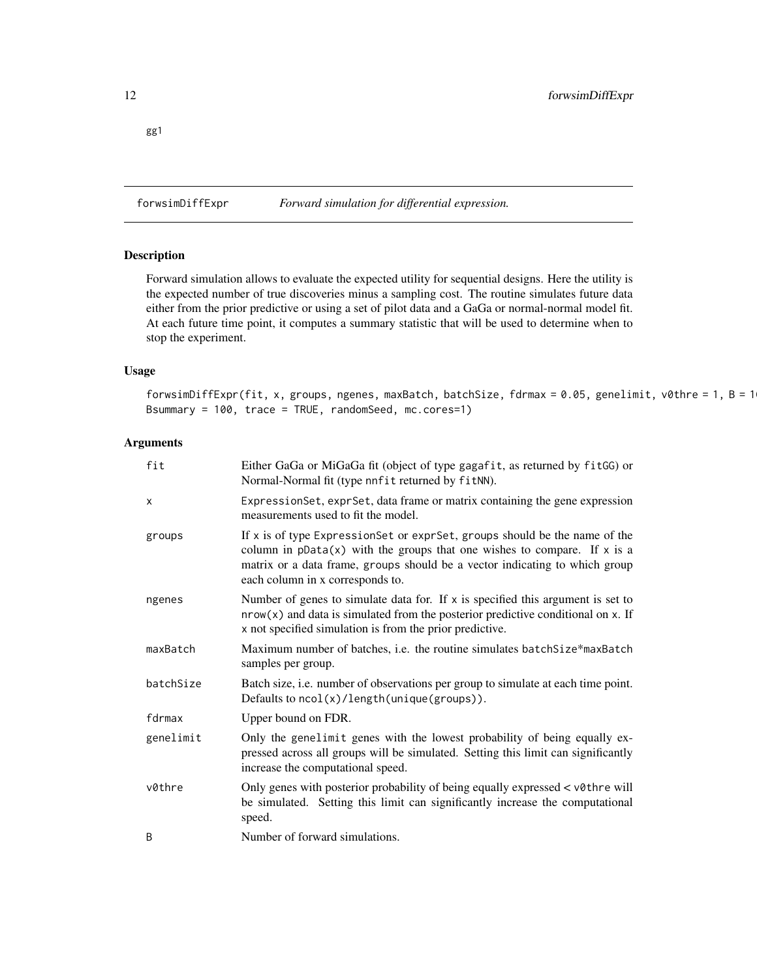<span id="page-11-0"></span>gg1

<span id="page-11-1"></span>forwsimDiffExpr *Forward simulation for differential expression.*

### Description

Forward simulation allows to evaluate the expected utility for sequential designs. Here the utility is the expected number of true discoveries minus a sampling cost. The routine simulates future data either from the prior predictive or using a set of pilot data and a GaGa or normal-normal model fit. At each future time point, it computes a summary statistic that will be used to determine when to stop the experiment.

#### Usage

forwsimDiffExpr(fit, x, groups, ngenes, maxBatch, batchSize, fdrmax = 0.05, genelimit, v0thre = 1, B = 100, Bsummary = 100, trace = TRUE, randomSeed, mc.cores=1)

| fit       | Either GaGa or MiGaGa fit (object of type gagafit, as returned by fitGG) or<br>Normal-Normal fit (type nnfit returned by fitNN).                                                                                                                                            |
|-----------|-----------------------------------------------------------------------------------------------------------------------------------------------------------------------------------------------------------------------------------------------------------------------------|
| X         | ExpressionSet, exprSet, data frame or matrix containing the gene expression<br>measurements used to fit the model.                                                                                                                                                          |
| groups    | If x is of type ExpressionSet or exprSet, groups should be the name of the<br>column in $pData(x)$ with the groups that one wishes to compare. If x is a<br>matrix or a data frame, groups should be a vector indicating to which group<br>each column in x corresponds to. |
| ngenes    | Number of genes to simulate data for. If $x$ is specified this argument is set to<br>$nrow(x)$ and data is simulated from the posterior predictive conditional on x. If<br>x not specified simulation is from the prior predictive.                                         |
| maxBatch  | Maximum number of batches, i.e. the routine simulates batchSize*maxBatch<br>samples per group.                                                                                                                                                                              |
| batchSize | Batch size, i.e. number of observations per group to simulate at each time point.<br>Defaults to $ncol(x)/length(unique(groups))$ .                                                                                                                                         |
| fdrmax    | Upper bound on FDR.                                                                                                                                                                                                                                                         |
| genelimit | Only the genelimit genes with the lowest probability of being equally ex-<br>pressed across all groups will be simulated. Setting this limit can significantly<br>increase the computational speed.                                                                         |
| v0thre    | Only genes with posterior probability of being equally expressed < v0thre will<br>be simulated. Setting this limit can significantly increase the computational<br>speed.                                                                                                   |
| B         | Number of forward simulations.                                                                                                                                                                                                                                              |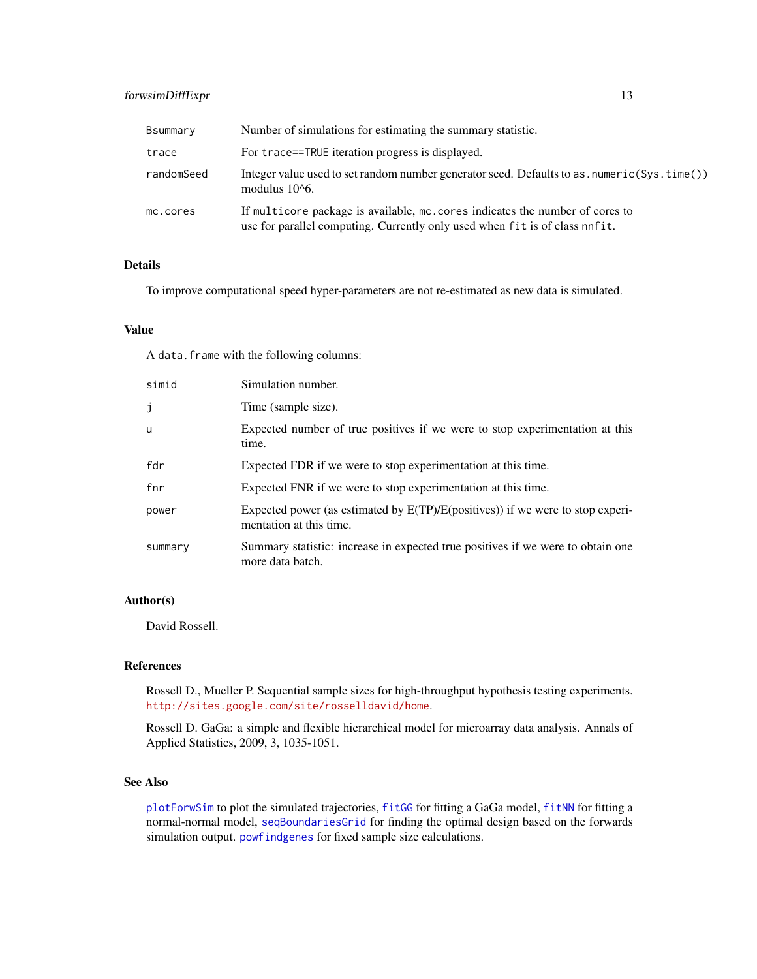### <span id="page-12-0"></span>forwsimDiffExpr 13

| Bsummary   | Number of simulations for estimating the summary statistic.                                                                                                  |
|------------|--------------------------------------------------------------------------------------------------------------------------------------------------------------|
| trace      | For trace==TRUE iteration progress is displayed.                                                                                                             |
| randomSeed | Integer value used to set random number generator seed. Defaults to as . numeric(Sys. time())<br>modulus $10^6$ .                                            |
| mc.cores   | If multicore package is available, mc. cores indicates the number of cores to<br>use for parallel computing. Currently only used when fit is of class nnfit. |

### Details

To improve computational speed hyper-parameters are not re-estimated as new data is simulated.

#### Value

A data.frame with the following columns:

| simid   | Simulation number.                                                                                           |
|---------|--------------------------------------------------------------------------------------------------------------|
| j       | Time (sample size).                                                                                          |
| u       | Expected number of true positives if we were to stop experimentation at this<br>time.                        |
| fdr     | Expected FDR if we were to stop experimentation at this time.                                                |
| fnr     | Expected FNR if we were to stop experimentation at this time.                                                |
| power   | Expected power (as estimated by $E(TP)/E(positives)$ ) if we were to stop experi-<br>mentation at this time. |
| summary | Summary statistic: increase in expected true positives if we were to obtain one<br>more data batch.          |

### Author(s)

David Rossell.

### References

Rossell D., Mueller P. Sequential sample sizes for high-throughput hypothesis testing experiments. <http://sites.google.com/site/rosselldavid/home>.

Rossell D. GaGa: a simple and flexible hierarchical model for microarray data analysis. Annals of Applied Statistics, 2009, 3, 1035-1051.

### See Also

[plotForwSim](#page-17-1) to plot the simulated trajectories, [fitGG](#page-8-1) for fitting a GaGa model, [fitNN](#page-8-2) for fitting a normal-normal model, [seqBoundariesGrid](#page-25-1) for finding the optimal design based on the forwards simulation output. [powfindgenes](#page-21-1) for fixed sample size calculations.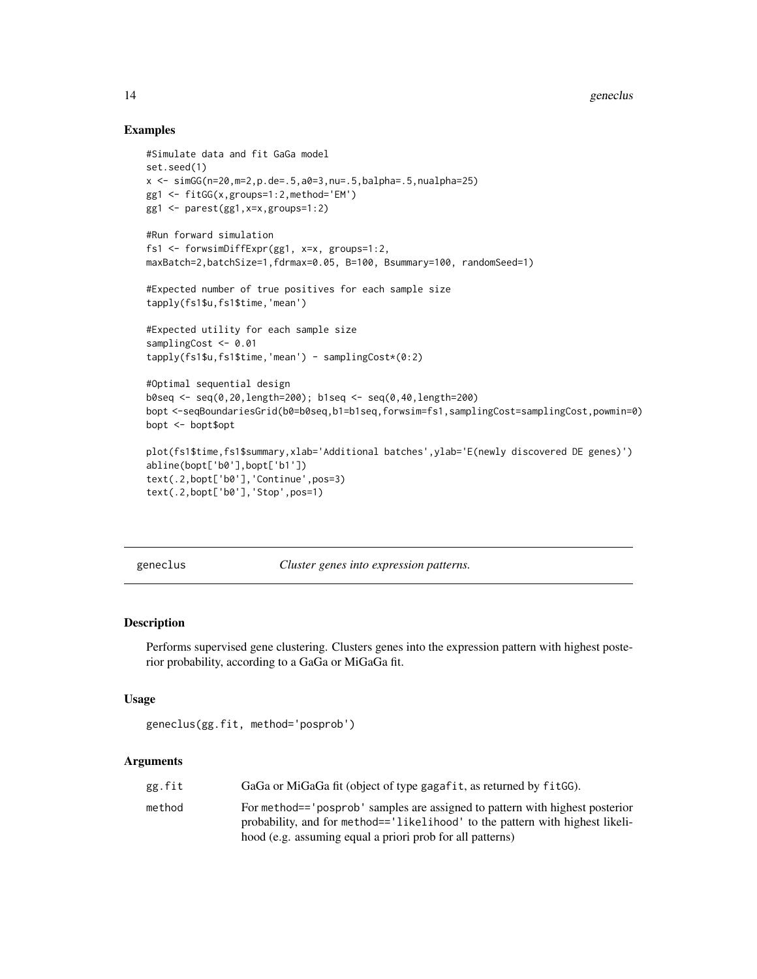### Examples

```
#Simulate data and fit GaGa model
set.seed(1)
x \le -\sin(G(n=20, m=2, p.de=.5, a0=3, nu=.5, balpha=.5, nualpha=.25)gg1 <- fitGG(x,groups=1:2,method='EM')
gg1 <- parest(gg1,x=x,groups=1:2)
#Run forward simulation
fs1 <- forwsimDiffExpr(gg1, x=x, groups=1:2,
maxBatch=2,batchSize=1,fdrmax=0.05, B=100, Bsummary=100, randomSeed=1)
#Expected number of true positives for each sample size
tapply(fs1$u,fs1$time,'mean')
#Expected utility for each sample size
samplingCost <- 0.01
tapply(fs1$u,fs1$time,'mean') - samplingCost*(0:2)
#Optimal sequential design
b0seq <- seq(0,20,length=200); b1seq <- seq(0,40,length=200)
bopt <-seqBoundariesGrid(b0=b0seq,b1=b1seq,forwsim=fs1,samplingCost=samplingCost,powmin=0)
bopt <- bopt$opt
plot(fs1$time,fs1$summary,xlab='Additional batches',ylab='E(newly discovered DE genes)')
abline(bopt['b0'],bopt['b1'])
text(.2,bopt['b0'],'Continue',pos=3)
text(.2,bopt['b0'],'Stop',pos=1)
```
<span id="page-13-1"></span>geneclus *Cluster genes into expression patterns.*

#### Description

Performs supervised gene clustering. Clusters genes into the expression pattern with highest posterior probability, according to a GaGa or MiGaGa fit.

#### Usage

```
geneclus(gg.fit, method='posprob')
```

| GaGa or MiGaGa fit (object of type gagafit, as returned by fitGG).<br>gg.fit                                                                                                                                                          |  |
|---------------------------------------------------------------------------------------------------------------------------------------------------------------------------------------------------------------------------------------|--|
| For method== 'posprob' samples are assigned to pattern with highest posterior<br>method<br>probability, and for method=='likelihood' to the pattern with highest likeli-<br>hood (e.g. assuming equal a priori prob for all patterns) |  |

<span id="page-13-0"></span>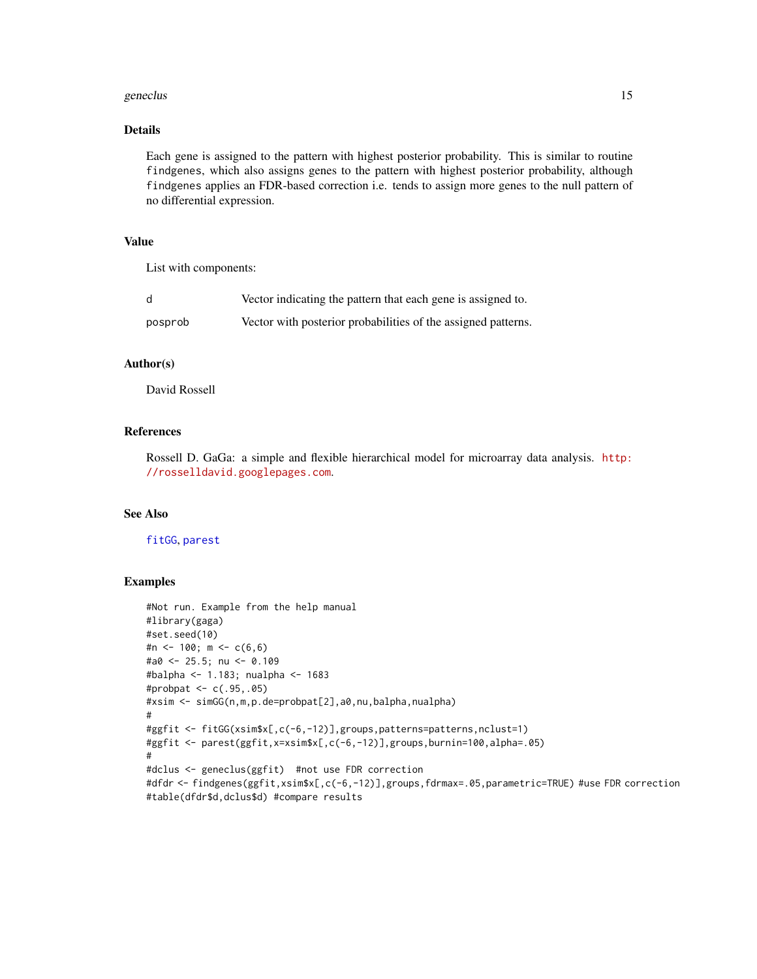#### <span id="page-14-0"></span>geneclus and the set of the set of the set of the set of the set of the set of the set of the set of the set of the set of the set of the set of the set of the set of the set of the set of the set of the set of the set of

### Details

Each gene is assigned to the pattern with highest posterior probability. This is similar to routine findgenes, which also assigns genes to the pattern with highest posterior probability, although findgenes applies an FDR-based correction i.e. tends to assign more genes to the null pattern of no differential expression.

#### Value

List with components:

| d       | Vector indicating the pattern that each gene is assigned to.  |
|---------|---------------------------------------------------------------|
| posprob | Vector with posterior probabilities of the assigned patterns. |

### Author(s)

David Rossell

### References

Rossell D. GaGa: a simple and flexible hierarchical model for microarray data analysis. [http:](http://rosselldavid.googlepages.com) [//rosselldavid.googlepages.com](http://rosselldavid.googlepages.com).

### See Also

[fitGG](#page-8-1), [parest](#page-16-1)

```
#Not run. Example from the help manual
#library(gaga)
#set.seed(10)
#n <- 100; m <- c(6,6)
#a0 <- 25.5; nu <- 0.109
#balpha <- 1.183; nualpha <- 1683
#probpat <- c(.95,.05)
#xsim <- simGG(n,m,p.de=probpat[2],a0,nu,balpha,nualpha)
#
#ggfit <- fitGG(xsim$x[,c(-6,-12)],groups,patterns=patterns,nclust=1)
#ggfit <- parest(ggfit,x=xsim$x[,c(-6,-12)],groups,burnin=100,alpha=.05)
#
#dclus <- geneclus(ggfit) #not use FDR correction
#dfdr <- findgenes(ggfit,xsim$x[,c(-6,-12)],groups,fdrmax=.05,parametric=TRUE) #use FDR correction
#table(dfdr$d,dclus$d) #compare results
```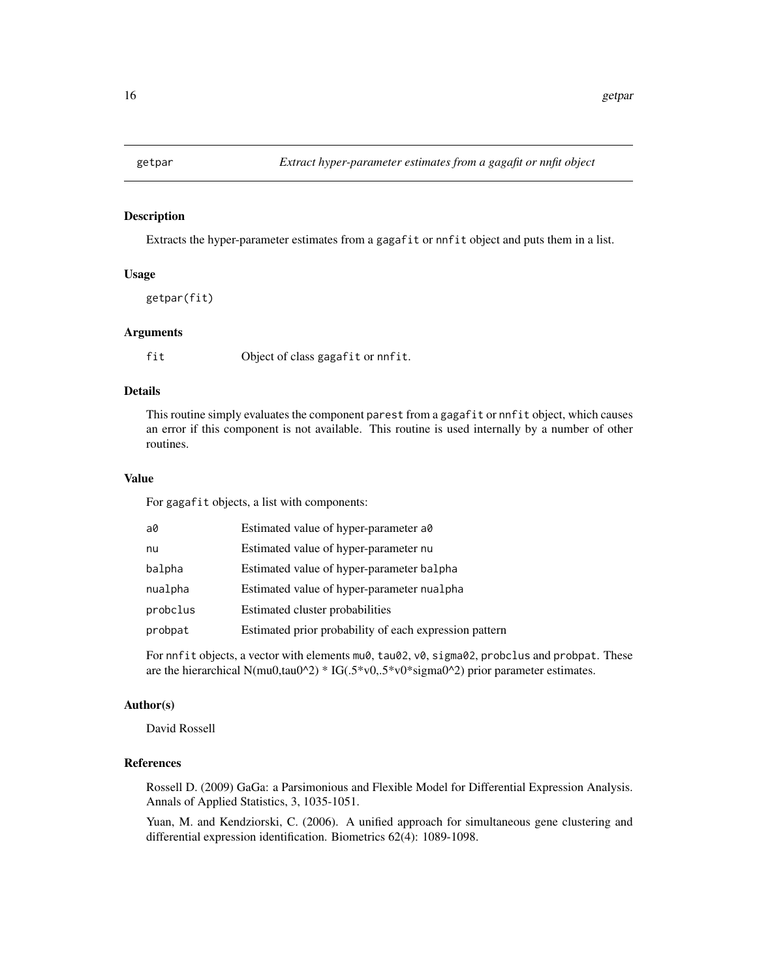<span id="page-15-0"></span>

### Description

Extracts the hyper-parameter estimates from a gagafit or nnfit object and puts them in a list.

#### Usage

getpar(fit)

#### Arguments

fit Object of class gagafit or nnfit.

### Details

This routine simply evaluates the component parest from a gagafit or nnfit object, which causes an error if this component is not available. This routine is used internally by a number of other routines.

#### Value

For gagafit objects, a list with components:

| a0       | Estimated value of hyper-parameter a0                  |
|----------|--------------------------------------------------------|
| nu       | Estimated value of hyper-parameter nu                  |
| balpha   | Estimated value of hyper-parameter balpha              |
| nualpha  | Estimated value of hyper-parameter nualpha             |
| probclus | Estimated cluster probabilities                        |
| probpat  | Estimated prior probability of each expression pattern |
|          |                                                        |

For nnfit objects, a vector with elements mu0, tau02, v0, sigma02, probclus and probpat. These are the hierarchical N(mu0,tau0^2) \* IG(.5\*v0,.5\*v0\*sigma0^2) prior parameter estimates.

#### Author(s)

David Rossell

### References

Rossell D. (2009) GaGa: a Parsimonious and Flexible Model for Differential Expression Analysis. Annals of Applied Statistics, 3, 1035-1051.

Yuan, M. and Kendziorski, C. (2006). A unified approach for simultaneous gene clustering and differential expression identification. Biometrics 62(4): 1089-1098.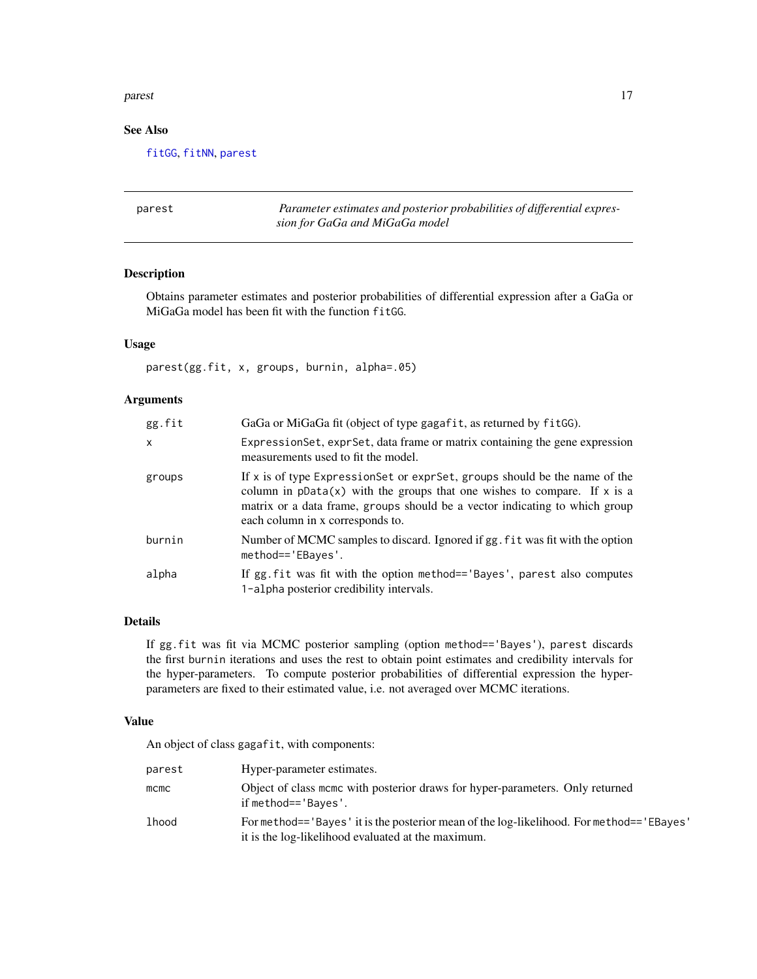#### <span id="page-16-0"></span>parest the contract of the contract of the contract of the contract of the contract of the contract of the contract of the contract of the contract of the contract of the contract of the contract of the contract of the con

### See Also

[fitGG](#page-8-1), [fitNN](#page-8-2), [parest](#page-16-1)

<span id="page-16-1"></span>

| parest | Parameter estimates and posterior probabilities of differential expres- |
|--------|-------------------------------------------------------------------------|
|        | sion for GaGa and MiGaGa model                                          |

### Description

Obtains parameter estimates and posterior probabilities of differential expression after a GaGa or MiGaGa model has been fit with the function fitGG.

#### Usage

parest(gg.fit, x, groups, burnin, alpha=.05)

### Arguments

| gg.fit       | GaGa or MiGaGa fit (object of type gagafit, as returned by fitGG).                                                                                                                                                                                                            |
|--------------|-------------------------------------------------------------------------------------------------------------------------------------------------------------------------------------------------------------------------------------------------------------------------------|
| $\mathsf{x}$ | Expression Set, expr Set, data frame or matrix containing the gene expression<br>measurements used to fit the model.                                                                                                                                                          |
| groups       | If x is of type Expression Set or expr Set, groups should be the name of the<br>column in $pData(x)$ with the groups that one wishes to compare. If x is a<br>matrix or a data frame, groups should be a vector indicating to which group<br>each column in x corresponds to. |
| burnin       | Number of MCMC samples to discard. Ignored if gg. fit was fit with the option<br>method=='EBayes'.                                                                                                                                                                            |
| alpha        | If gg. fit was fit with the option method== 'Bayes', parest also computes<br>1-alpha posterior credibility intervals.                                                                                                                                                         |

### Details

If gg.fit was fit via MCMC posterior sampling (option method=='Bayes'), parest discards the first burnin iterations and uses the rest to obtain point estimates and credibility intervals for the hyper-parameters. To compute posterior probabilities of differential expression the hyperparameters are fixed to their estimated value, i.e. not averaged over MCMC iterations.

### Value

An object of class gagafit, with components:

| parest | Hyper-parameter estimates.                                                                                                                     |
|--------|------------------------------------------------------------------------------------------------------------------------------------------------|
| mcmc   | Object of class mome with posterior draws for hyper-parameters. Only returned<br>if method=='Bayes'.                                           |
| lhood  | For method=='Bayes' it is the posterior mean of the log-likelihood. For method=='EBayes'<br>it is the log-likelihood evaluated at the maximum. |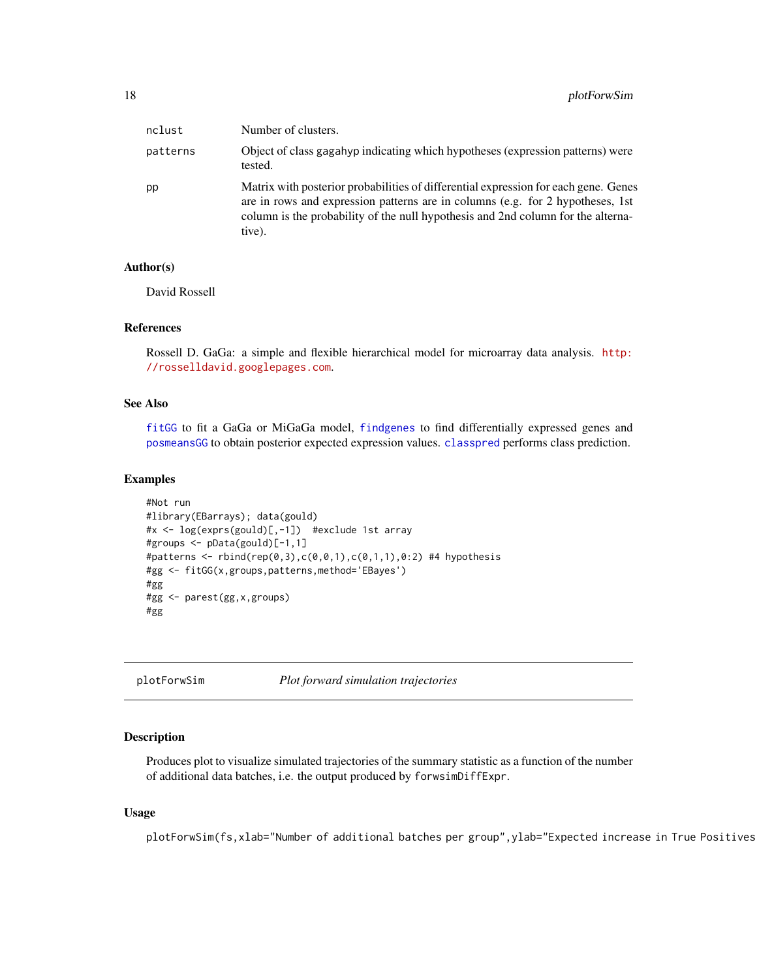<span id="page-17-0"></span>

| nclust   | Number of clusters.                                                                                                                                                                                                                                                 |
|----------|---------------------------------------------------------------------------------------------------------------------------------------------------------------------------------------------------------------------------------------------------------------------|
| patterns | Object of class gagahyp indicating which hypotheses (expression patterns) were<br>tested.                                                                                                                                                                           |
| pp       | Matrix with posterior probabilities of differential expression for each gene. Genes<br>are in rows and expression patterns are in columns (e.g. for 2 hypotheses, 1st<br>column is the probability of the null hypothesis and 2nd column for the alterna-<br>tive). |

#### Author(s)

David Rossell

#### References

Rossell D. GaGa: a simple and flexible hierarchical model for microarray data analysis. [http:](http://rosselldavid.googlepages.com) [//rosselldavid.googlepages.com](http://rosselldavid.googlepages.com).

#### See Also

[fitGG](#page-8-1) to fit a GaGa or MiGaGa model, [findgenes](#page-6-1) to find differentially expressed genes and [posmeansGG](#page-18-1) to obtain posterior expected expression values. [classpred](#page-3-1) performs class prediction.

#### Examples

```
#Not run
#library(EBarrays); data(gould)
#x <- log(exprs(gould)[,-1]) #exclude 1st array
#groups <- pData(gould)[-1,1]
#patterns <- rbind(rep(0,3),c(0,0,1),c(0,1,1),0:2) #4 hypothesis
#gg <- fitGG(x,groups,patterns,method='EBayes')
#gg
#gg <- parest(gg,x,groups)
#gg
```
<span id="page-17-1"></span>plotForwSim *Plot forward simulation trajectories*

#### Description

Produces plot to visualize simulated trajectories of the summary statistic as a function of the number of additional data batches, i.e. the output produced by forwsimDiffExpr.

#### Usage

plotForwSim(fs,xlab="Number of additional batches per group",ylab="Expected increase in True Positives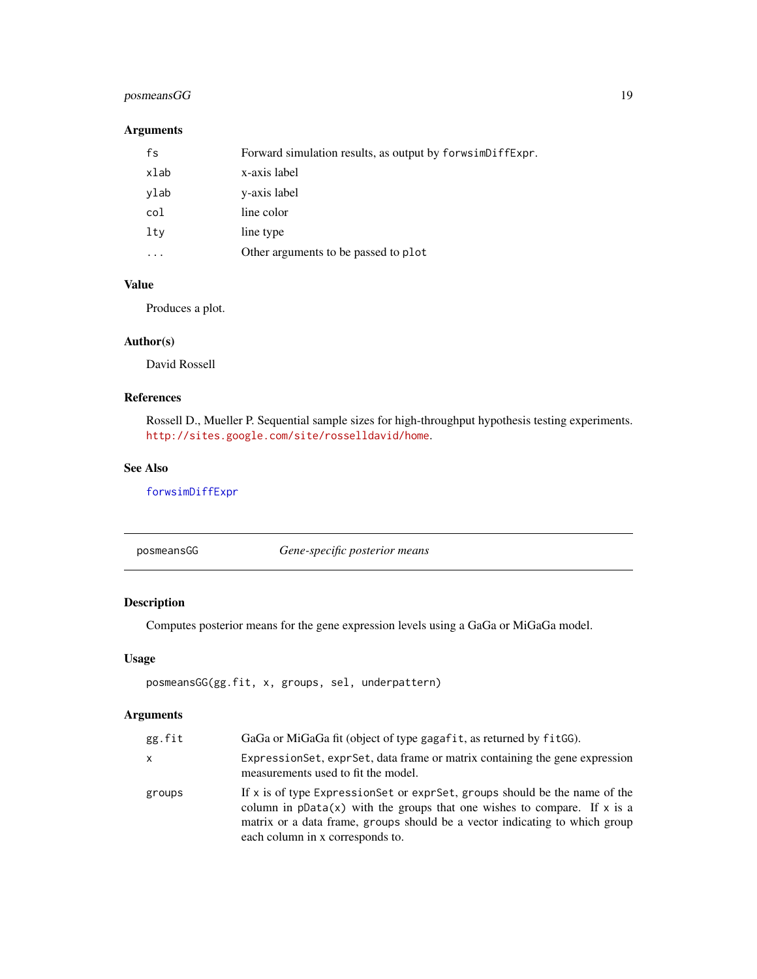### <span id="page-18-0"></span>posmeansGG 19

### Arguments

| fs   | Forward simulation results, as output by forwsimDiffExpr. |
|------|-----------------------------------------------------------|
| xlab | x-axis label                                              |
| ylab | y-axis label                                              |
| col  | line color                                                |
| lty  | line type                                                 |
|      | Other arguments to be passed to plot                      |

### Value

Produces a plot.

### Author(s)

David Rossell

### References

Rossell D., Mueller P. Sequential sample sizes for high-throughput hypothesis testing experiments. <http://sites.google.com/site/rosselldavid/home>.

### See Also

[forwsimDiffExpr](#page-11-1)

<span id="page-18-1"></span>posmeansGG *Gene-specific posterior means*

### Description

Computes posterior means for the gene expression levels using a GaGa or MiGaGa model.

### Usage

posmeansGG(gg.fit, x, groups, sel, underpattern)

| gg.fit | GaGa or MiGaGa fit (object of type gagafit, as returned by fitGG).                                                                                                                                                                                                            |
|--------|-------------------------------------------------------------------------------------------------------------------------------------------------------------------------------------------------------------------------------------------------------------------------------|
| x      | ExpressionSet, exprSet, data frame or matrix containing the gene expression<br>measurements used to fit the model.                                                                                                                                                            |
| groups | If x is of type Expression Set or expr Set, groups should be the name of the<br>column in $pData(x)$ with the groups that one wishes to compare. If x is a<br>matrix or a data frame, groups should be a vector indicating to which group<br>each column in x corresponds to. |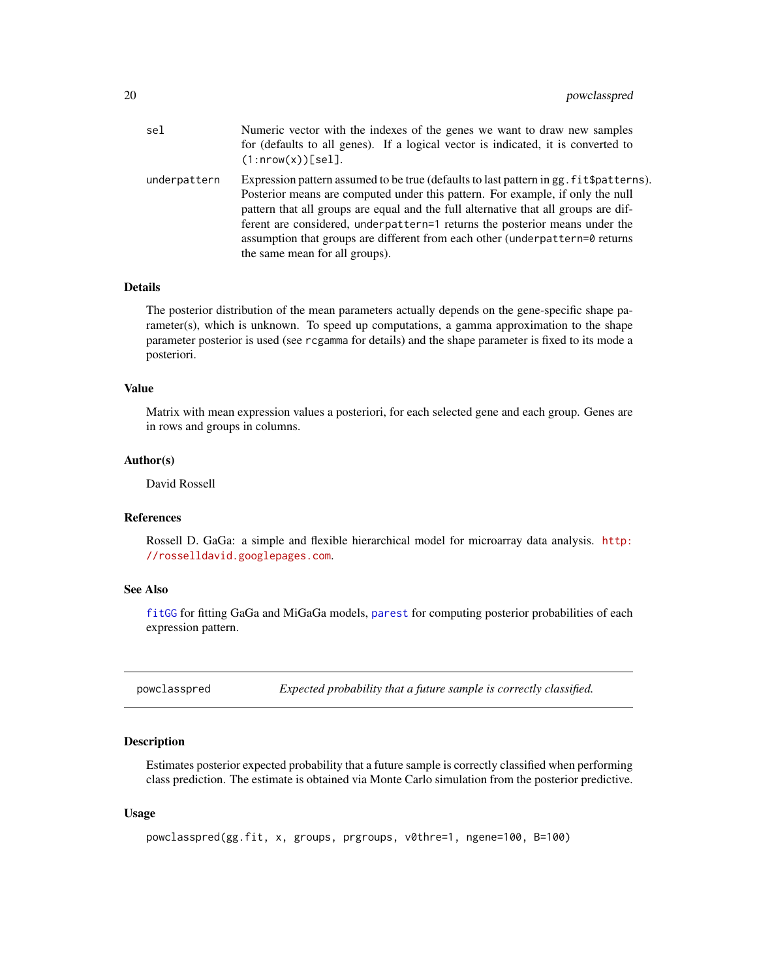<span id="page-19-0"></span>

| sel          | Numeric vector with the indexes of the genes we want to draw new samples<br>for (defaults to all genes). If a logical vector is indicated, it is converted to<br>$(1: nrow(x))$ [sel].                                                                                                                                                                                                                                                                             |
|--------------|--------------------------------------------------------------------------------------------------------------------------------------------------------------------------------------------------------------------------------------------------------------------------------------------------------------------------------------------------------------------------------------------------------------------------------------------------------------------|
| underpattern | Expression pattern assumed to be true (defaults to last pattern in gg. fit \$patterns).<br>Posterior means are computed under this pattern. For example, if only the null<br>pattern that all groups are equal and the full alternative that all groups are dif-<br>ferent are considered, underpattern=1 returns the posterior means under the<br>assumption that groups are different from each other (underpattern=0 returns)<br>the same mean for all groups). |

#### Details

The posterior distribution of the mean parameters actually depends on the gene-specific shape parameter(s), which is unknown. To speed up computations, a gamma approximation to the shape parameter posterior is used (see rcgamma for details) and the shape parameter is fixed to its mode a posteriori.

#### Value

Matrix with mean expression values a posteriori, for each selected gene and each group. Genes are in rows and groups in columns.

#### Author(s)

David Rossell

#### References

Rossell D. GaGa: a simple and flexible hierarchical model for microarray data analysis. [http:](http://rosselldavid.googlepages.com) [//rosselldavid.googlepages.com](http://rosselldavid.googlepages.com).

#### See Also

[fitGG](#page-8-1) for fitting GaGa and MiGaGa models, [parest](#page-16-1) for computing posterior probabilities of each expression pattern.

<span id="page-19-1"></span>powclasspred *Expected probability that a future sample is correctly classified.*

### Description

Estimates posterior expected probability that a future sample is correctly classified when performing class prediction. The estimate is obtained via Monte Carlo simulation from the posterior predictive.

#### Usage

```
powclasspred(gg.fit, x, groups, prgroups, v0thre=1, ngene=100, B=100)
```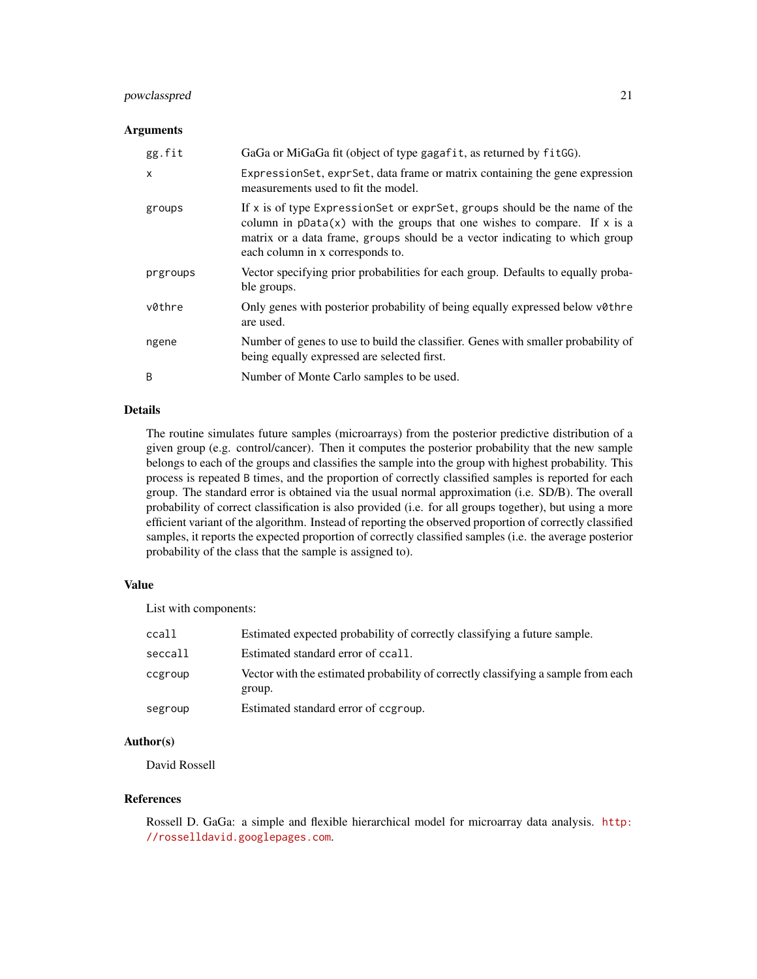### powclasspred 21

#### Arguments

| gg.fit       | GaGa or MiGaGa fit (object of type gagafit, as returned by fitGG).                                                                                                                                                                                                            |
|--------------|-------------------------------------------------------------------------------------------------------------------------------------------------------------------------------------------------------------------------------------------------------------------------------|
| $\mathsf{x}$ | ExpressionSet, exprSet, data frame or matrix containing the gene expression<br>measurements used to fit the model.                                                                                                                                                            |
| groups       | If x is of type Expression Set or expr Set, groups should be the name of the<br>column in $pData(x)$ with the groups that one wishes to compare. If x is a<br>matrix or a data frame, groups should be a vector indicating to which group<br>each column in x corresponds to. |
| prgroups     | Vector specifying prior probabilities for each group. Defaults to equally proba-<br>ble groups.                                                                                                                                                                               |
| v0thre       | Only genes with posterior probability of being equally expressed below v0thre<br>are used.                                                                                                                                                                                    |
| ngene        | Number of genes to use to build the classifier. Genes with smaller probability of<br>being equally expressed are selected first.                                                                                                                                              |
| B            | Number of Monte Carlo samples to be used.                                                                                                                                                                                                                                     |

#### Details

The routine simulates future samples (microarrays) from the posterior predictive distribution of a given group (e.g. control/cancer). Then it computes the posterior probability that the new sample belongs to each of the groups and classifies the sample into the group with highest probability. This process is repeated B times, and the proportion of correctly classified samples is reported for each group. The standard error is obtained via the usual normal approximation (i.e. SD/B). The overall probability of correct classification is also provided (i.e. for all groups together), but using a more efficient variant of the algorithm. Instead of reporting the observed proportion of correctly classified samples, it reports the expected proportion of correctly classified samples (i.e. the average posterior probability of the class that the sample is assigned to).

### Value

List with components:

| ccall   | Estimated expected probability of correctly classifying a future sample.                    |
|---------|---------------------------------------------------------------------------------------------|
| seccall | Estimated standard error of ccall.                                                          |
| ccgroup | Vector with the estimated probability of correctly classifying a sample from each<br>group. |
| segroup | Estimated standard error of cogroup.                                                        |

### Author(s)

David Rossell

#### References

Rossell D. GaGa: a simple and flexible hierarchical model for microarray data analysis. [http:](http://rosselldavid.googlepages.com) [//rosselldavid.googlepages.com](http://rosselldavid.googlepages.com).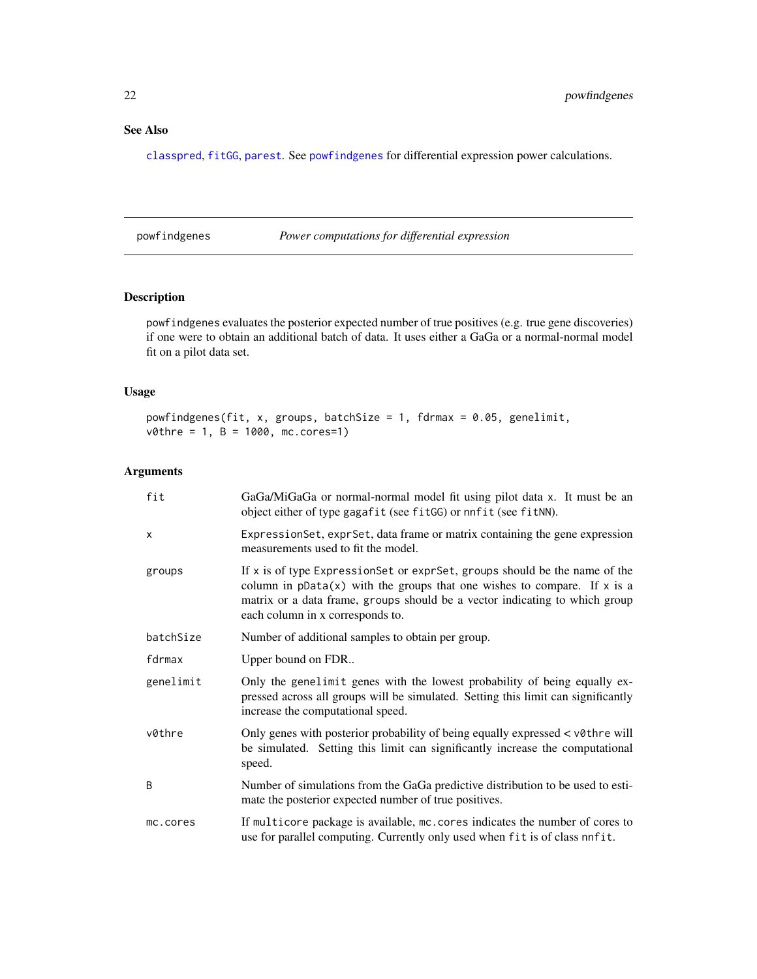### <span id="page-21-0"></span>See Also

[classpred](#page-3-1), [fitGG](#page-8-1), [parest](#page-16-1). See [powfindgenes](#page-21-1) for differential expression power calculations.

<span id="page-21-1"></span>powfindgenes *Power computations for differential expression*

### Description

powfindgenes evaluates the posterior expected number of true positives (e.g. true gene discoveries) if one were to obtain an additional batch of data. It uses either a GaGa or a normal-normal model fit on a pilot data set.

#### Usage

```
powfindgenes(fit, x, groups, batchSize = 1, fdrmax = 0.05, genelimit,
v0thre = 1, B = 1000, mc.cores=1)
```

| fit       | GaGa/MiGaGa or normal-normal model fit using pilot data x. It must be an<br>object either of type gagafit (see fitGG) or nnfit (see fitNN).                                                                                                                                 |
|-----------|-----------------------------------------------------------------------------------------------------------------------------------------------------------------------------------------------------------------------------------------------------------------------------|
| $\times$  | Expression Set, expr Set, data frame or matrix containing the gene expression<br>measurements used to fit the model.                                                                                                                                                        |
| groups    | If x is of type ExpressionSet or exprSet, groups should be the name of the<br>column in $pData(x)$ with the groups that one wishes to compare. If x is a<br>matrix or a data frame, groups should be a vector indicating to which group<br>each column in x corresponds to. |
| batchSize | Number of additional samples to obtain per group.                                                                                                                                                                                                                           |
| fdrmax    | Upper bound on FDR                                                                                                                                                                                                                                                          |
| genelimit | Only the genelimit genes with the lowest probability of being equally ex-<br>pressed across all groups will be simulated. Setting this limit can significantly<br>increase the computational speed.                                                                         |
| v0thre    | Only genes with posterior probability of being equally expressed < v0thre will<br>be simulated. Setting this limit can significantly increase the computational<br>speed.                                                                                                   |
| B         | Number of simulations from the GaGa predictive distribution to be used to esti-<br>mate the posterior expected number of true positives.                                                                                                                                    |
| mc.cores  | If multicore package is available, mc. cores indicates the number of cores to<br>use for parallel computing. Currently only used when fit is of class nnfit.                                                                                                                |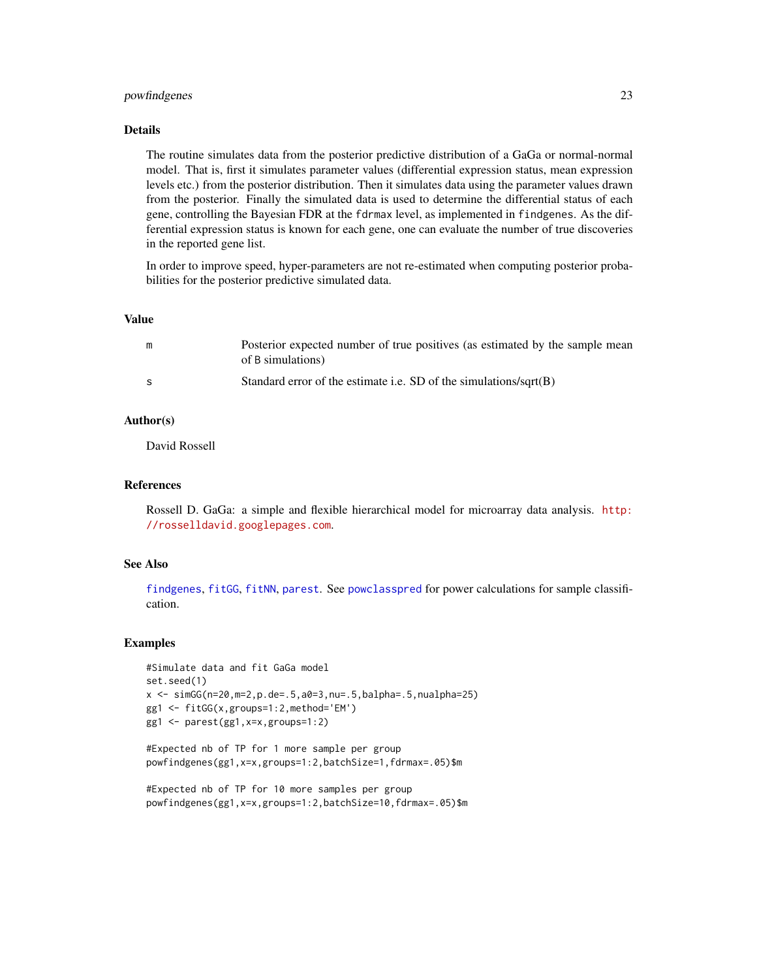### <span id="page-22-0"></span>powfindgenes 23

### Details

The routine simulates data from the posterior predictive distribution of a GaGa or normal-normal model. That is, first it simulates parameter values (differential expression status, mean expression levels etc.) from the posterior distribution. Then it simulates data using the parameter values drawn from the posterior. Finally the simulated data is used to determine the differential status of each gene, controlling the Bayesian FDR at the fdrmax level, as implemented in findgenes. As the differential expression status is known for each gene, one can evaluate the number of true discoveries in the reported gene list.

In order to improve speed, hyper-parameters are not re-estimated when computing posterior probabilities for the posterior predictive simulated data.

#### Value

| Posterior expected number of true positives (as estimated by the sample mean<br>of B simulations) |
|---------------------------------------------------------------------------------------------------|
| Standard error of the estimate i.e. SD of the simulations/sqrt( $B$ )                             |

#### Author(s)

David Rossell

### References

Rossell D. GaGa: a simple and flexible hierarchical model for microarray data analysis. [http:](http://rosselldavid.googlepages.com) [//rosselldavid.googlepages.com](http://rosselldavid.googlepages.com).

### See Also

[findgenes](#page-6-1), [fitGG](#page-8-1), [fitNN](#page-8-2), [parest](#page-16-1). See [powclasspred](#page-19-1) for power calculations for sample classification.

```
#Simulate data and fit GaGa model
set.seed(1)
x \le -\sin(G(n=20, m=2, p.de=.5, a0=3, nu=.5, balpha=.5, nualpha=.25)gg1 <- fitGG(x,groups=1:2,method='EM')
gg1 <- parest(gg1,x=x,groups=1:2)
```

```
#Expected nb of TP for 1 more sample per group
powfindgenes(gg1,x=x,groups=1:2,batchSize=1,fdrmax=.05)$m
```

```
#Expected nb of TP for 10 more samples per group
powfindgenes(gg1,x=x,groups=1:2,batchSize=10,fdrmax=.05)$m
```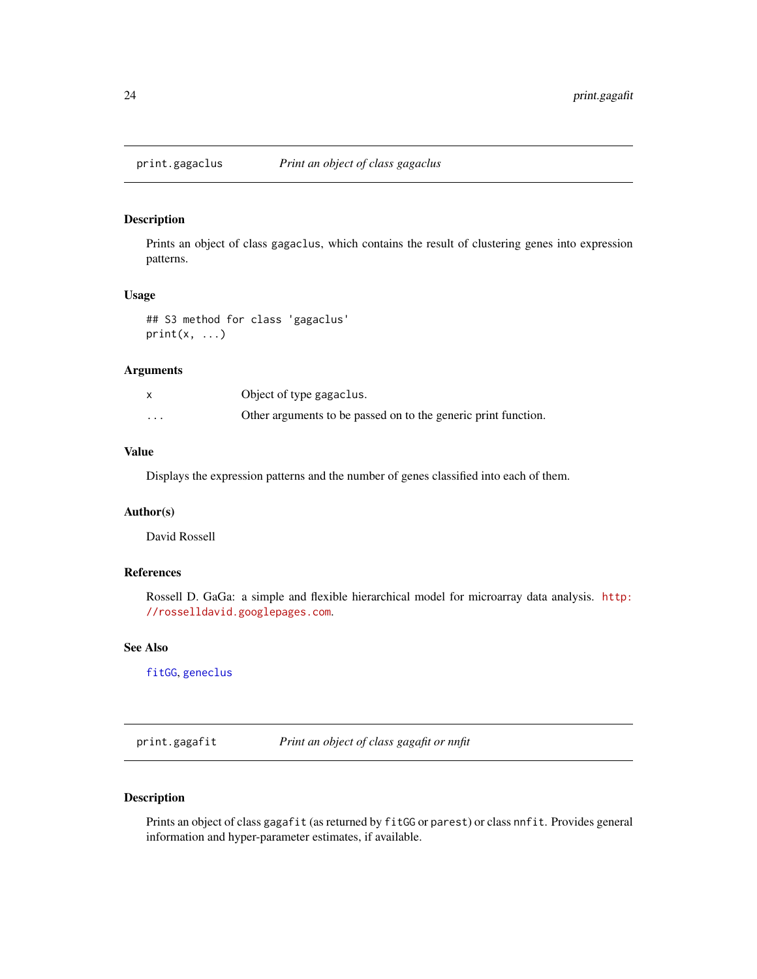<span id="page-23-0"></span>

### Description

Prints an object of class gagaclus, which contains the result of clustering genes into expression patterns.

### Usage

## S3 method for class 'gagaclus'  $print(x, \ldots)$ 

#### Arguments

|          | Object of type gagaclus.                                       |
|----------|----------------------------------------------------------------|
| $\cdots$ | Other arguments to be passed on to the generic print function. |

### Value

Displays the expression patterns and the number of genes classified into each of them.

#### Author(s)

David Rossell

### References

Rossell D. GaGa: a simple and flexible hierarchical model for microarray data analysis. [http:](http://rosselldavid.googlepages.com) [//rosselldavid.googlepages.com](http://rosselldavid.googlepages.com).

### See Also

[fitGG](#page-8-1), [geneclus](#page-13-1)

print.gagafit *Print an object of class gagafit or nnfit*

### Description

Prints an object of class gagafit (as returned by fitGG or parest) or class nnfit. Provides general information and hyper-parameter estimates, if available.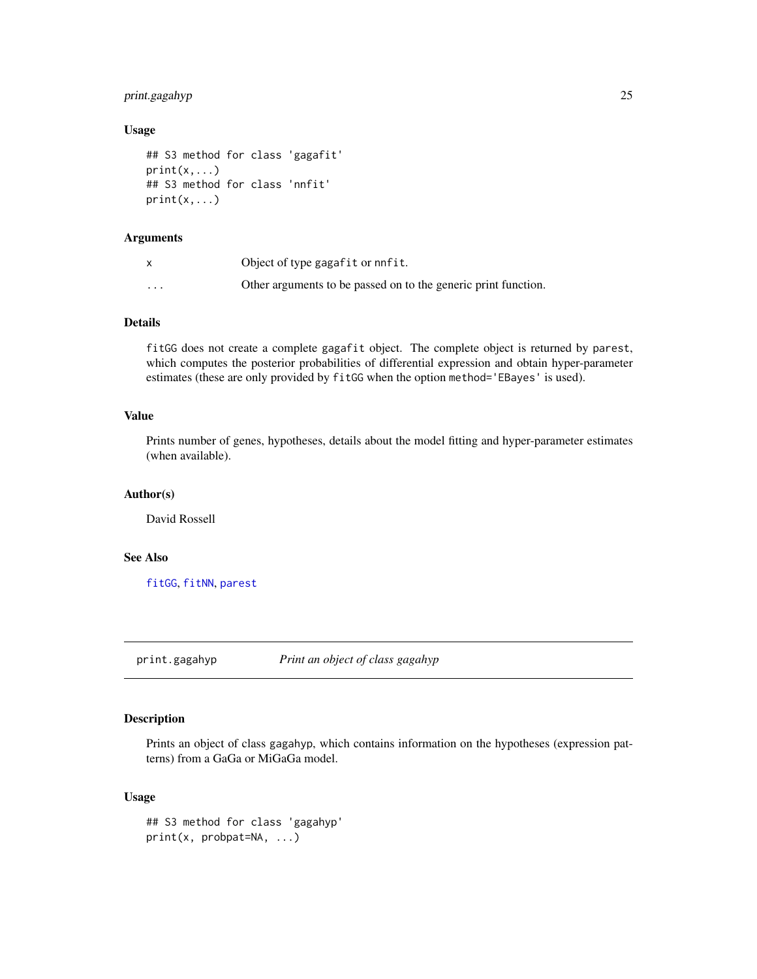### <span id="page-24-0"></span>print.gagahyp 25

### Usage

```
## S3 method for class 'gagafit'
print(x, \ldots)## S3 method for class 'nnfit'
print(x, \ldots)
```
### Arguments

|          | Object of type gagafit or nnfit.                               |
|----------|----------------------------------------------------------------|
| $\cdots$ | Other arguments to be passed on to the generic print function. |

### Details

fitGG does not create a complete gagafit object. The complete object is returned by parest, which computes the posterior probabilities of differential expression and obtain hyper-parameter estimates (these are only provided by fitGG when the option method='EBayes' is used).

### Value

Prints number of genes, hypotheses, details about the model fitting and hyper-parameter estimates (when available).

### Author(s)

David Rossell

### See Also

[fitGG](#page-8-1), [fitNN](#page-8-2), [parest](#page-16-1)

print.gagahyp *Print an object of class gagahyp*

### Description

Prints an object of class gagahyp, which contains information on the hypotheses (expression patterns) from a GaGa or MiGaGa model.

### Usage

```
## S3 method for class 'gagahyp'
print(x, probpat=NA, ...)
```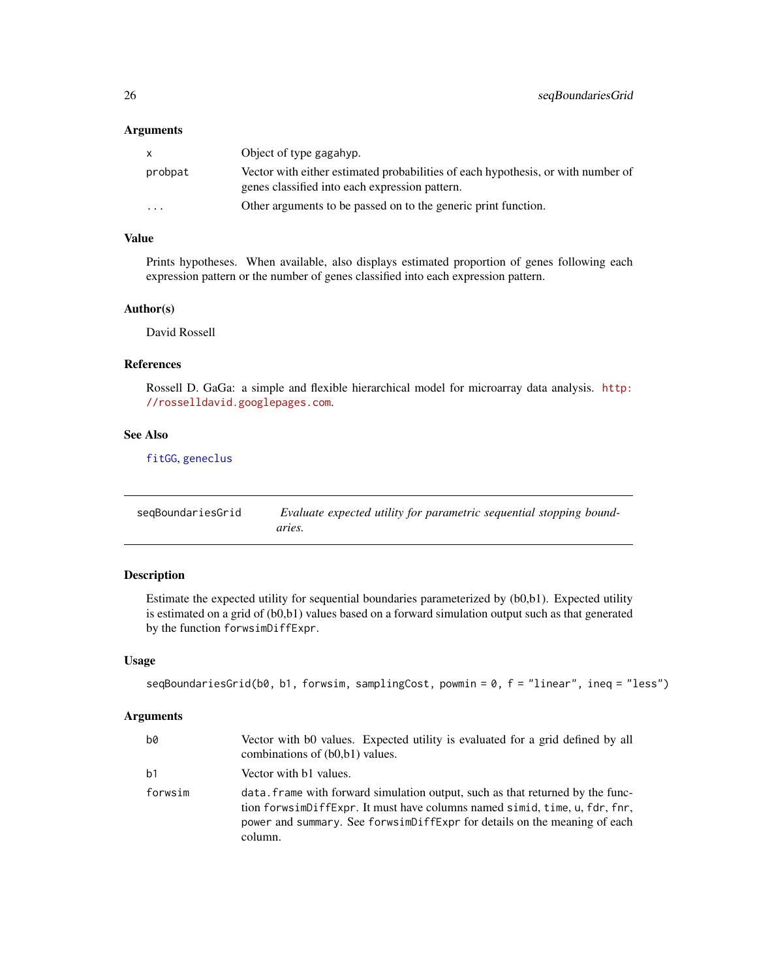#### <span id="page-25-0"></span>Arguments

| X        | Object of type gagahyp.                                                                                                            |
|----------|------------------------------------------------------------------------------------------------------------------------------------|
| probpat  | Vector with either estimated probabilities of each hypothesis, or with number of<br>genes classified into each expression pattern. |
| $\cdots$ | Other arguments to be passed on to the generic print function.                                                                     |

### Value

Prints hypotheses. When available, also displays estimated proportion of genes following each expression pattern or the number of genes classified into each expression pattern.

#### Author(s)

David Rossell

#### References

Rossell D. GaGa: a simple and flexible hierarchical model for microarray data analysis. [http:](http://rosselldavid.googlepages.com) [//rosselldavid.googlepages.com](http://rosselldavid.googlepages.com).

### See Also

[fitGG](#page-8-1), [geneclus](#page-13-1)

<span id="page-25-1"></span>

| seqBoundariesGrid | Evaluate expected utility for parametric sequential stopping bound- |
|-------------------|---------------------------------------------------------------------|
|                   | aries.                                                              |

### Description

Estimate the expected utility for sequential boundaries parameterized by (b0,b1). Expected utility is estimated on a grid of (b0,b1) values based on a forward simulation output such as that generated by the function forwsimDiffExpr.

### Usage

```
seqBoundariesGrid(b0, b1, forwsim, samplingCost, powmin = 0, f = "linear", ineq = "less")
```

| b0             | Vector with b0 values. Expected utility is evaluated for a grid defined by all<br>combinations of (b0,b1) values.                                                                                                                                    |
|----------------|------------------------------------------------------------------------------------------------------------------------------------------------------------------------------------------------------------------------------------------------------|
| b <sub>1</sub> | Vector with b1 values.                                                                                                                                                                                                                               |
| forwsim        | data, frame with forward simulation output, such as that returned by the func-<br>tion forwsimDiffExpr. It must have columns named simid, time, u, fdr, fnr,<br>power and summary. See forwsimDiffExpr for details on the meaning of each<br>column. |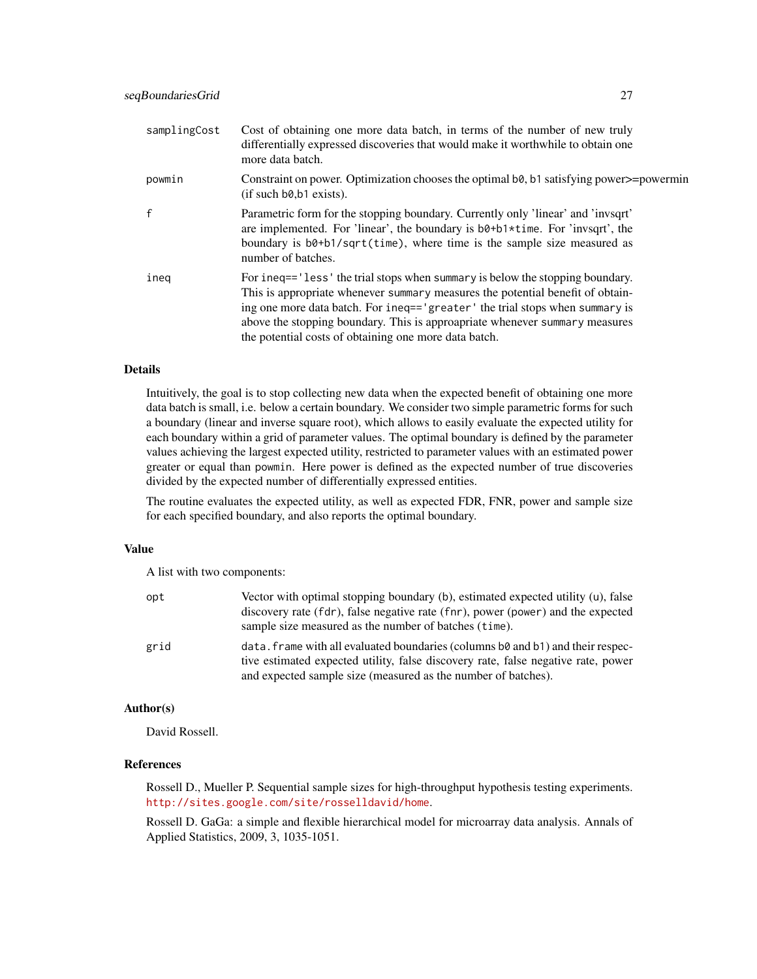| samplingCost | Cost of obtaining one more data batch, in terms of the number of new truly<br>differentially expressed discoveries that would make it worthwhile to obtain one<br>more data batch.                                                                                                                                                                                                      |
|--------------|-----------------------------------------------------------------------------------------------------------------------------------------------------------------------------------------------------------------------------------------------------------------------------------------------------------------------------------------------------------------------------------------|
| powmin       | Constraint on power. Optimization chooses the optimal b0, b1 satisfying power>=powermin<br>$(i$ f such b $\theta$ , b $\theta$ exists).                                                                                                                                                                                                                                                 |
|              | Parametric form for the stopping boundary. Currently only 'linear' and 'invsqrt'<br>are implemented. For 'linear', the boundary is b0+b1*time. For 'invsqrt', the<br>boundary is b0+b1/sqrt(time), where time is the sample size measured as<br>number of batches.                                                                                                                      |
| ineg         | For ineq=='less' the trial stops when summary is below the stopping boundary.<br>This is appropriate whenever summary measures the potential benefit of obtain-<br>ing one more data batch. For ineq=='greater' the trial stops when summary is<br>above the stopping boundary. This is approapriate whenever summary measures<br>the potential costs of obtaining one more data batch. |

### Details

Intuitively, the goal is to stop collecting new data when the expected benefit of obtaining one more data batch is small, i.e. below a certain boundary. We consider two simple parametric forms for such a boundary (linear and inverse square root), which allows to easily evaluate the expected utility for each boundary within a grid of parameter values. The optimal boundary is defined by the parameter values achieving the largest expected utility, restricted to parameter values with an estimated power greater or equal than powmin. Here power is defined as the expected number of true discoveries divided by the expected number of differentially expressed entities.

The routine evaluates the expected utility, as well as expected FDR, FNR, power and sample size for each specified boundary, and also reports the optimal boundary.

#### Value

A list with two components:

| opt  | Vector with optimal stopping boundary $(b)$ , estimated expected utility $(u)$ , false<br>discovery rate (fdr), false negative rate (fnr), power (power) and the expected<br>sample size measured as the number of batches (time).                   |
|------|------------------------------------------------------------------------------------------------------------------------------------------------------------------------------------------------------------------------------------------------------|
| grid | data. Frame with all evaluated boundaries (columns $b\theta$ and $b\theta$ ) and their respec-<br>tive estimated expected utility, false discovery rate, false negative rate, power<br>and expected sample size (measured as the number of batches). |

### Author(s)

David Rossell.

### References

Rossell D., Mueller P. Sequential sample sizes for high-throughput hypothesis testing experiments. <http://sites.google.com/site/rosselldavid/home>.

Rossell D. GaGa: a simple and flexible hierarchical model for microarray data analysis. Annals of Applied Statistics, 2009, 3, 1035-1051.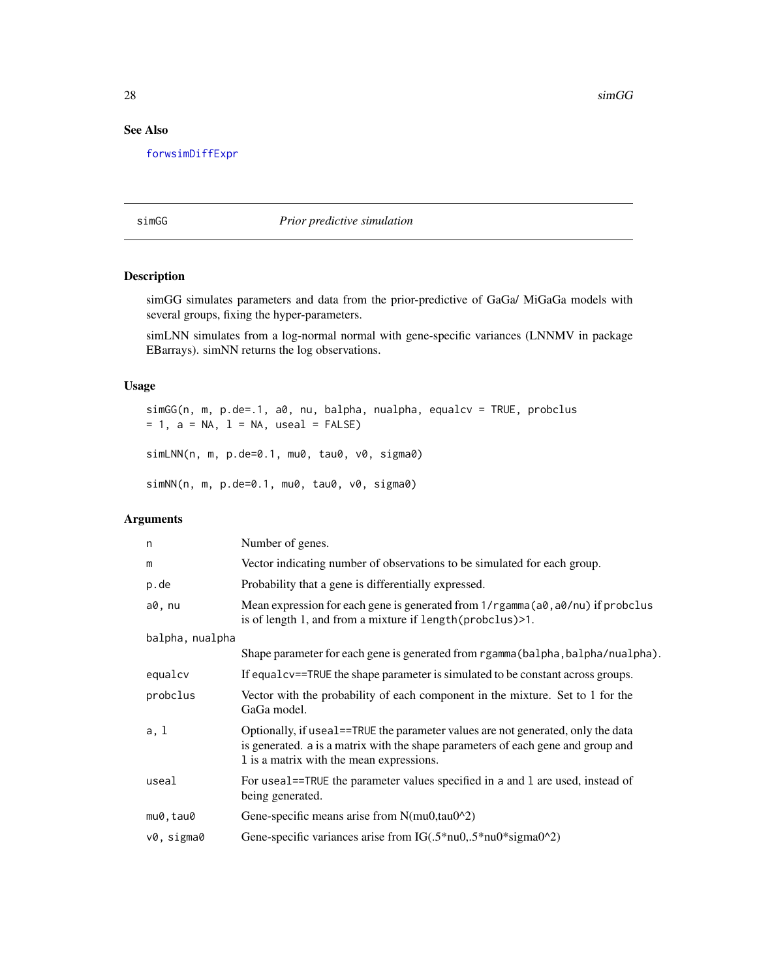<span id="page-27-0"></span>28 simGG  $\sim$  5.1 singlet  $\sim$  5.1 singlet  $\sim$  5.1 singlet  $\sim$  5.1 singlet  $\sim$  5.1 singlet  $\sim$  5.1 singlet  $\sim$  5.1 singlet  $\sim$  5.1 singlet  $\sim$  5.1 singlet  $\sim$  5.1 singlet  $\sim$  5.1 singlet  $\sim$  5.1 singlet  $\sim$  5.1

### See Also

[forwsimDiffExpr](#page-11-1)

<span id="page-27-1"></span>simGG *Prior predictive simulation*

### Description

simGG simulates parameters and data from the prior-predictive of GaGa/ MiGaGa models with several groups, fixing the hyper-parameters.

simLNN simulates from a log-normal normal with gene-specific variances (LNNMV in package EBarrays). simNN returns the log observations.

#### Usage

```
simGG(n, m, p.de=.1, a0, nu, balpha, nualpha, equalcv = TRUE, probclus
= 1, a = NA, l = NA, useal = FALSE)
simLNN(n, m, p.de=0.1, mu0, tau0, v0, sigma0)
```
simNN(n, m, p.de=0.1, mu0, tau0, v0, sigma0)

| n               | Number of genes.                                                                                                                                                                                                 |
|-----------------|------------------------------------------------------------------------------------------------------------------------------------------------------------------------------------------------------------------|
| m               | Vector indicating number of observations to be simulated for each group.                                                                                                                                         |
| p.de            | Probability that a gene is differentially expressed.                                                                                                                                                             |
| a0, nu          | Mean expression for each gene is generated from $1/r$ gamma $(a\theta, a\theta/nu)$ if probclus<br>is of length 1, and from a mixture if length (probclus) > 1.                                                  |
| balpha, nualpha |                                                                                                                                                                                                                  |
|                 | Shape parameter for each gene is generated from rgamma (balpha, balpha/nualpha).                                                                                                                                 |
| equalcy         | If equal cv==TRUE the shape parameter is simulated to be constant across groups.                                                                                                                                 |
| probclus        | Vector with the probability of each component in the mixture. Set to 1 for the<br>GaGa model.                                                                                                                    |
| a, 1            | Optionally, if useal==TRUE the parameter values are not generated, only the data<br>is generated. a is a matrix with the shape parameters of each gene and group and<br>1 is a matrix with the mean expressions. |
| useal           | For useal==TRUE the parameter values specified in a and 1 are used, instead of<br>being generated.                                                                                                               |
| mu0, tau0       | Gene-specific means arise from N(mu0,tau0^2)                                                                                                                                                                     |
| v0, sigma0      | Gene-specific variances arise from IG( $.5*$ nu0 $, .5*$ nu0 $*$ sigma0 $^{\wedge}2)$                                                                                                                            |
|                 |                                                                                                                                                                                                                  |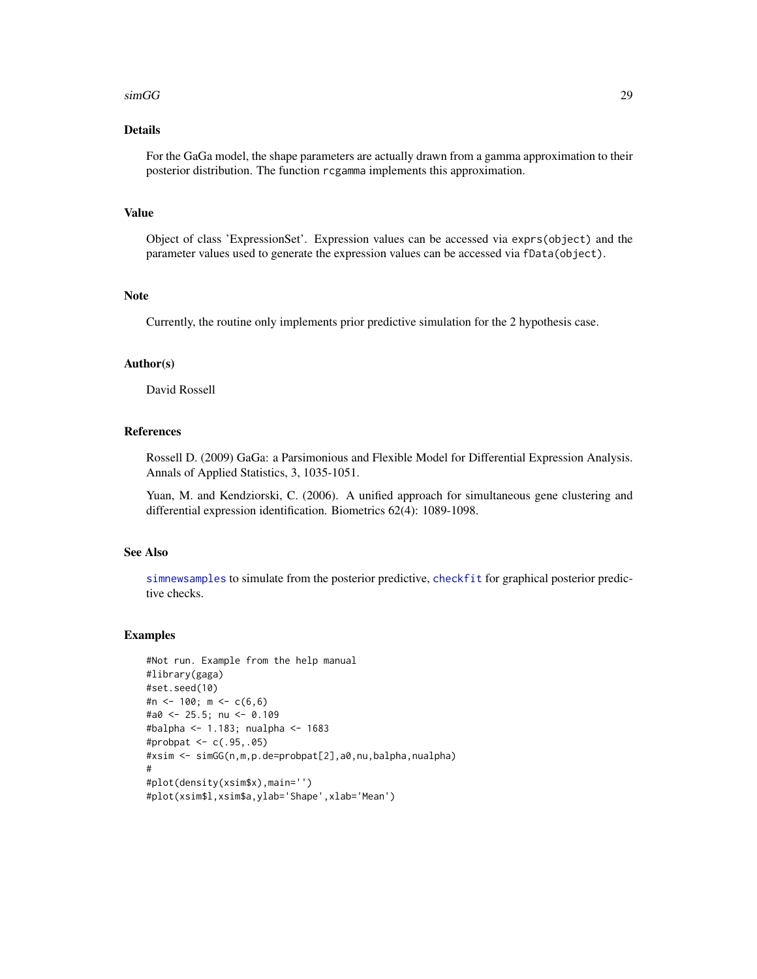#### <span id="page-28-0"></span> $\text{simGG}$  29

### Details

For the GaGa model, the shape parameters are actually drawn from a gamma approximation to their posterior distribution. The function rcgamma implements this approximation.

### Value

Object of class 'ExpressionSet'. Expression values can be accessed via exprs(object) and the parameter values used to generate the expression values can be accessed via fData(object).

### Note

Currently, the routine only implements prior predictive simulation for the 2 hypothesis case.

#### Author(s)

David Rossell

### References

Rossell D. (2009) GaGa: a Parsimonious and Flexible Model for Differential Expression Analysis. Annals of Applied Statistics, 3, 1035-1051.

Yuan, M. and Kendziorski, C. (2006). A unified approach for simultaneous gene clustering and differential expression identification. Biometrics 62(4): 1089-1098.

### See Also

[simnewsamples](#page-29-1) to simulate from the posterior predictive, [checkfit](#page-2-1) for graphical posterior predictive checks.

```
#Not run. Example from the help manual
#library(gaga)
#set.seed(10)
#n <- 100; m <- c(6,6)
#a0 <- 25.5; nu <- 0.109
#balpha <- 1.183; nualpha <- 1683
#probpat <- c(.95,.05)
#xsim <- simGG(n,m,p.de=probpat[2],a0,nu,balpha,nualpha)
#
#plot(density(xsim$x),main='')
#plot(xsim$l,xsim$a,ylab='Shape',xlab='Mean')
```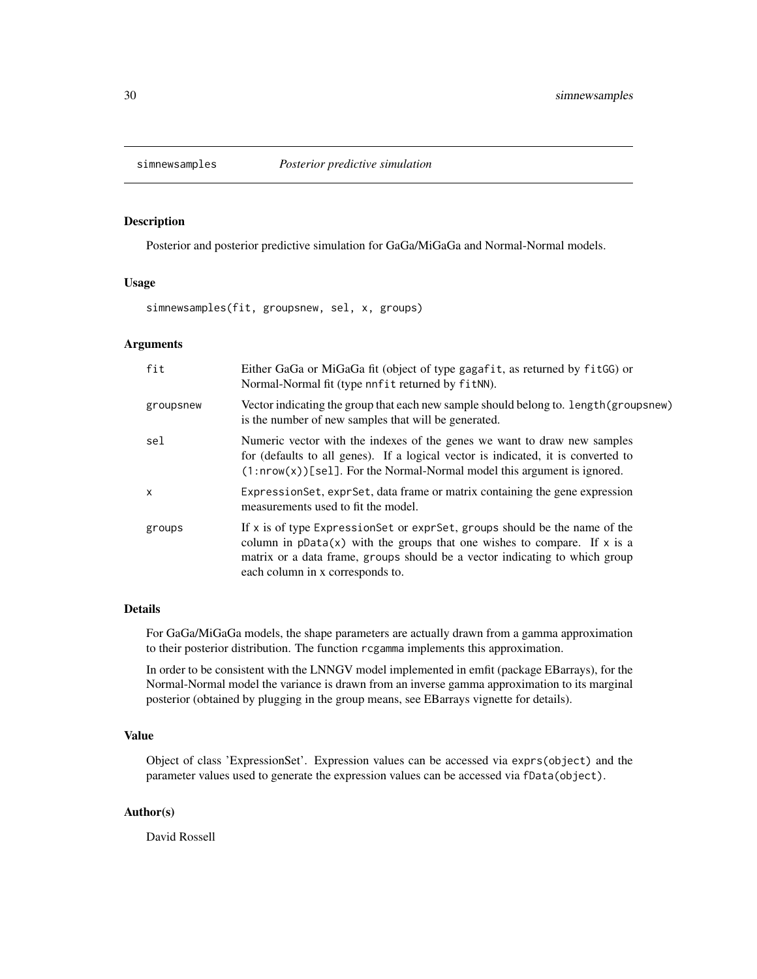<span id="page-29-1"></span><span id="page-29-0"></span>

#### Description

Posterior and posterior predictive simulation for GaGa/MiGaGa and Normal-Normal models.

### Usage

simnewsamples(fit, groupsnew, sel, x, groups)

#### Arguments

| fit          | Either GaGa or MiGaGa fit (object of type gagafit, as returned by fitGG) or<br>Normal-Normal fit (type nnfit returned by fitNN).                                                                                                                                                |
|--------------|---------------------------------------------------------------------------------------------------------------------------------------------------------------------------------------------------------------------------------------------------------------------------------|
| groupsnew    | Vector indicating the group that each new sample should belong to. length (groupsnew)<br>is the number of new samples that will be generated.                                                                                                                                   |
| sel          | Numeric vector with the indexes of the genes we want to draw new samples<br>for (defaults to all genes). If a logical vector is indicated, it is converted to<br>$(1: nrow(x))$ [sel]. For the Normal-Normal model this argument is ignored.                                    |
| $\mathsf{x}$ | Expression Set, expr Set, data frame or matrix containing the gene expression<br>measurements used to fit the model.                                                                                                                                                            |
| groups       | If $x$ is of type Expression Set or expr Set, groups should be the name of the<br>column in $pData(x)$ with the groups that one wishes to compare. If x is a<br>matrix or a data frame, groups should be a vector indicating to which group<br>each column in x corresponds to. |

#### Details

For GaGa/MiGaGa models, the shape parameters are actually drawn from a gamma approximation to their posterior distribution. The function rcgamma implements this approximation.

In order to be consistent with the LNNGV model implemented in emfit (package EBarrays), for the Normal-Normal model the variance is drawn from an inverse gamma approximation to its marginal posterior (obtained by plugging in the group means, see EBarrays vignette for details).

### Value

Object of class 'ExpressionSet'. Expression values can be accessed via exprs(object) and the parameter values used to generate the expression values can be accessed via fData(object).

#### Author(s)

David Rossell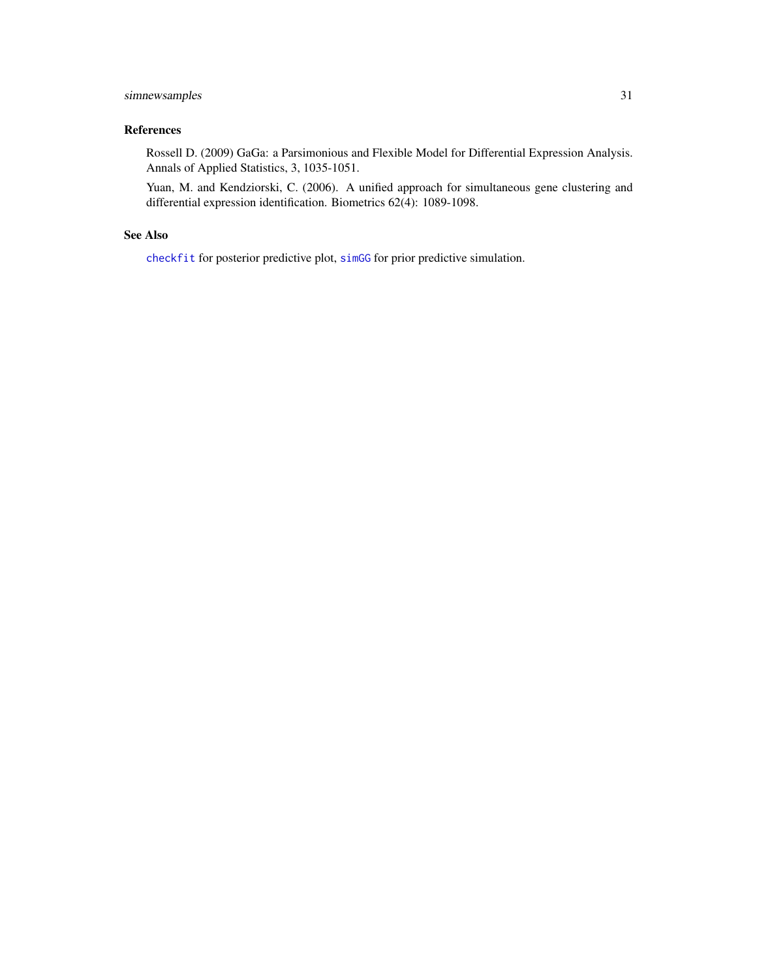### <span id="page-30-0"></span>simnewsamples 31

### References

Rossell D. (2009) GaGa: a Parsimonious and Flexible Model for Differential Expression Analysis. Annals of Applied Statistics, 3, 1035-1051.

Yuan, M. and Kendziorski, C. (2006). A unified approach for simultaneous gene clustering and differential expression identification. Biometrics 62(4): 1089-1098.

### See Also

[checkfit](#page-2-1) for posterior predictive plot, [simGG](#page-27-1) for prior predictive simulation.